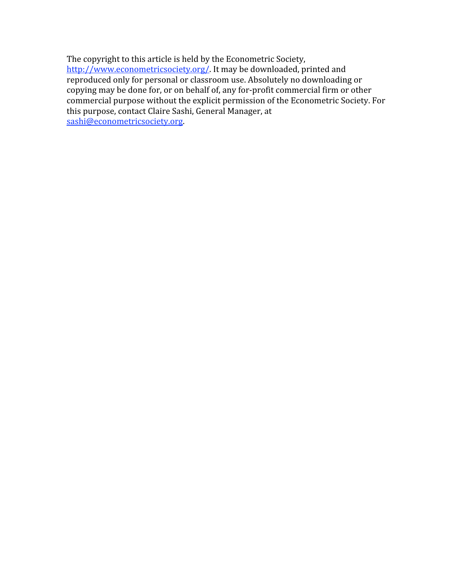The copyright to this article is held by the Econometric Society, http://www.econometricsociety.org/. It may be downloaded, printed and reproduced
only
for
personal
or
classroom
use.
Absolutely
no
downloading
or copying may be done for, or on behalf of, any for-profit commercial firm or other commercial
purpose
without
the
explicit
permission
of
the
Econometric
Society.
For this
purpose,
contact
Claire
Sashi,
General
Manager,
at sashi@econometricsociety.org.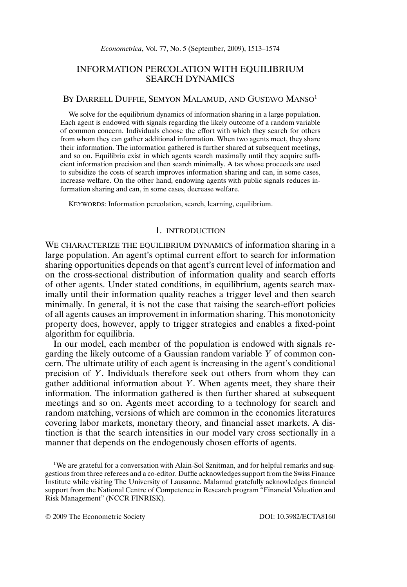# INFORMATION PERCOLATION WITH EQUILIBRIUM SEARCH DYNAMICS

# BY DARRELL DUFFIE, SEMYON MALAMUD, AND GUSTAVO MANSO<sup>1</sup>

We solve for the equilibrium dynamics of information sharing in a large population. Each agent is endowed with signals regarding the likely outcome of a random variable of common concern. Individuals choose the effort with which they search for others from whom they can gather additional information. When two agents meet, they share their information. The information gathered is further shared at subsequent meetings, and so on. Equilibria exist in which agents search maximally until they acquire sufficient information precision and then search minimally. A tax whose proceeds are used to subsidize the costs of search improves information sharing and can, in some cases, increase welfare. On the other hand, endowing agents with public signals reduces information sharing and can, in some cases, decrease welfare.

KEYWORDS: Information percolation, search, learning, equilibrium.

# 1. INTRODUCTION

WE CHARACTERIZE THE EQUILIBRIUM DYNAMICS of information sharing in a large population. An agent's optimal current effort to search for information sharing opportunities depends on that agent's current level of information and on the cross-sectional distribution of information quality and search efforts of other agents. Under stated conditions, in equilibrium, agents search maximally until their information quality reaches a trigger level and then search minimally. In general, it is not the case that raising the search-effort policies of all agents causes an improvement in information sharing. This monotonicity property does, however, apply to trigger strategies and enables a fixed-point algorithm for equilibria.

In our model, each member of the population is endowed with signals regarding the likely outcome of a Gaussian random variable Y of common concern. The ultimate utility of each agent is increasing in the agent's conditional precision of Y. Individuals therefore seek out others from whom they can gather additional information about Y. When agents meet, they share their information. The information gathered is then further shared at subsequent meetings and so on. Agents meet according to a technology for search and random matching, versions of which are common in the economics literatures covering labor markets, monetary theory, and financial asset markets. A distinction is that the search intensities in our model vary cross sectionally in a manner that depends on the endogenously chosen efforts of agents.

<sup>1</sup>We are grateful for a conversation with Alain-Sol Sznitman, and for helpful remarks and suggestions from three referees and a co-editor. Duffie acknowledges support from the Swiss Finance Institute while visiting The University of Lausanne. Malamud gratefully acknowledges financial support from the National Centre of Competence in Research program "Financial Valuation and Risk Management" (NCCR FINRISK).

© 2009 The Econometric Society DOI: 10.3982/ECTA8160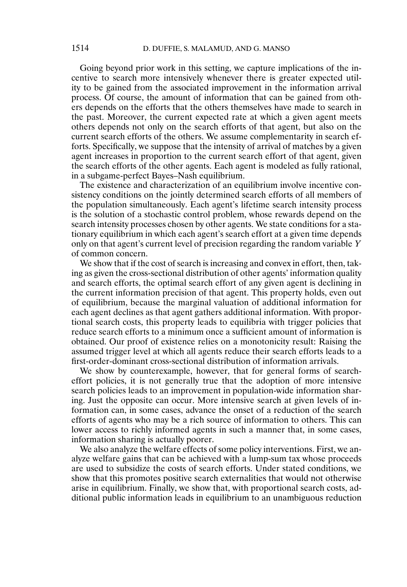Going beyond prior work in this setting, we capture implications of the incentive to search more intensively whenever there is greater expected utility to be gained from the associated improvement in the information arrival process. Of course, the amount of information that can be gained from others depends on the efforts that the others themselves have made to search in the past. Moreover, the current expected rate at which a given agent meets others depends not only on the search efforts of that agent, but also on the current search efforts of the others. We assume complementarity in search efforts. Specifically, we suppose that the intensity of arrival of matches by a given agent increases in proportion to the current search effort of that agent, given the search efforts of the other agents. Each agent is modeled as fully rational, in a subgame-perfect Bayes–Nash equilibrium.

The existence and characterization of an equilibrium involve incentive consistency conditions on the jointly determined search efforts of all members of the population simultaneously. Each agent's lifetime search intensity process is the solution of a stochastic control problem, whose rewards depend on the search intensity processes chosen by other agents. We state conditions for a stationary equilibrium in which each agent's search effort at a given time depends only on that agent's current level of precision regarding the random variable Y of common concern.

We show that if the cost of search is increasing and convex in effort, then, taking as given the cross-sectional distribution of other agents' information quality and search efforts, the optimal search effort of any given agent is declining in the current information precision of that agent. This property holds, even out of equilibrium, because the marginal valuation of additional information for each agent declines as that agent gathers additional information. With proportional search costs, this property leads to equilibria with trigger policies that reduce search efforts to a minimum once a sufficient amount of information is obtained. Our proof of existence relies on a monotonicity result: Raising the assumed trigger level at which all agents reduce their search efforts leads to a first-order-dominant cross-sectional distribution of information arrivals.

We show by counterexample, however, that for general forms of searcheffort policies, it is not generally true that the adoption of more intensive search policies leads to an improvement in population-wide information sharing. Just the opposite can occur. More intensive search at given levels of information can, in some cases, advance the onset of a reduction of the search efforts of agents who may be a rich source of information to others. This can lower access to richly informed agents in such a manner that, in some cases, information sharing is actually poorer.

We also analyze the welfare effects of some policy interventions. First, we analyze welfare gains that can be achieved with a lump-sum tax whose proceeds are used to subsidize the costs of search efforts. Under stated conditions, we show that this promotes positive search externalities that would not otherwise arise in equilibrium. Finally, we show that, with proportional search costs, additional public information leads in equilibrium to an unambiguous reduction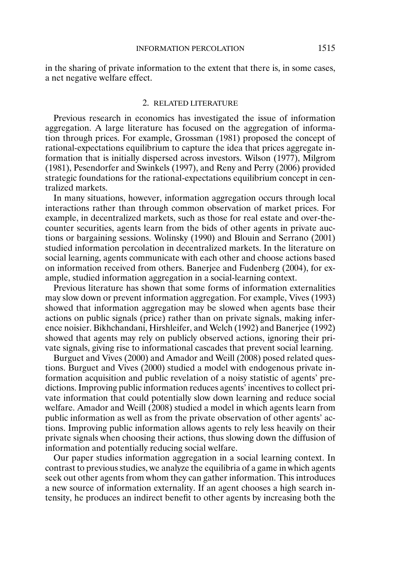in the sharing of private information to the extent that there is, in some cases, a net negative welfare effect.

### 2. RELATED LITERATURE

Previous research in economics has investigated the issue of information aggregation. A large literature has focused on the aggregation of information through prices. For example, Grossman (1981) proposed the concept of rational-expectations equilibrium to capture the idea that prices aggregate information that is initially dispersed across investors. Wilson (1977), Milgrom (1981), Pesendorfer and Swinkels (1997), and Reny and Perry (2006) provided strategic foundations for the rational-expectations equilibrium concept in centralized markets.

In many situations, however, information aggregation occurs through local interactions rather than through common observation of market prices. For example, in decentralized markets, such as those for real estate and over-thecounter securities, agents learn from the bids of other agents in private auctions or bargaining sessions. Wolinsky (1990) and Blouin and Serrano (2001) studied information percolation in decentralized markets. In the literature on social learning, agents communicate with each other and choose actions based on information received from others. Banerjee and Fudenberg (2004), for example, studied information aggregation in a social-learning context.

Previous literature has shown that some forms of information externalities may slow down or prevent information aggregation. For example, Vives (1993) showed that information aggregation may be slowed when agents base their actions on public signals (price) rather than on private signals, making inference noisier. Bikhchandani, Hirshleifer, and Welch (1992) and Banerjee (1992) showed that agents may rely on publicly observed actions, ignoring their private signals, giving rise to informational cascades that prevent social learning.

Burguet and Vives (2000) and Amador and Weill (2008) posed related questions. Burguet and Vives (2000) studied a model with endogenous private information acquisition and public revelation of a noisy statistic of agents' predictions. Improving public information reduces agents' incentives to collect private information that could potentially slow down learning and reduce social welfare. Amador and Weill (2008) studied a model in which agents learn from public information as well as from the private observation of other agents' actions. Improving public information allows agents to rely less heavily on their private signals when choosing their actions, thus slowing down the diffusion of information and potentially reducing social welfare.

Our paper studies information aggregation in a social learning context. In contrast to previous studies, we analyze the equilibria of a game in which agents seek out other agents from whom they can gather information. This introduces a new source of information externality. If an agent chooses a high search intensity, he produces an indirect benefit to other agents by increasing both the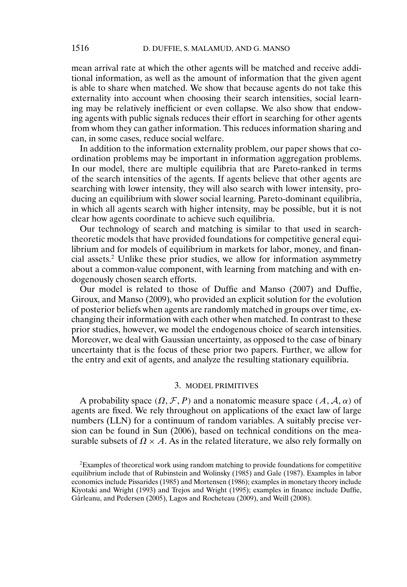mean arrival rate at which the other agents will be matched and receive additional information, as well as the amount of information that the given agent is able to share when matched. We show that because agents do not take this externality into account when choosing their search intensities, social learning may be relatively inefficient or even collapse. We also show that endowing agents with public signals reduces their effort in searching for other agents from whom they can gather information. This reduces information sharing and can, in some cases, reduce social welfare.

In addition to the information externality problem, our paper shows that coordination problems may be important in information aggregation problems. In our model, there are multiple equilibria that are Pareto-ranked in terms of the search intensities of the agents. If agents believe that other agents are searching with lower intensity, they will also search with lower intensity, producing an equilibrium with slower social learning. Pareto-dominant equilibria, in which all agents search with higher intensity, may be possible, but it is not clear how agents coordinate to achieve such equilibria.

Our technology of search and matching is similar to that used in searchtheoretic models that have provided foundations for competitive general equilibrium and for models of equilibrium in markets for labor, money, and financial assets.2 Unlike these prior studies, we allow for information asymmetry about a common-value component, with learning from matching and with endogenously chosen search efforts.

Our model is related to those of Duffie and Manso (2007) and Duffie, Giroux, and Manso (2009), who provided an explicit solution for the evolution of posterior beliefs when agents are randomly matched in groups over time, exchanging their information with each other when matched. In contrast to these prior studies, however, we model the endogenous choice of search intensities. Moreover, we deal with Gaussian uncertainty, as opposed to the case of binary uncertainty that is the focus of these prior two papers. Further, we allow for the entry and exit of agents, and analyze the resulting stationary equilibria.

## 3. MODEL PRIMITIVES

A probability space  $(\Omega, \mathcal{F}, P)$  and a nonatomic measure space  $(A, \mathcal{A}, \alpha)$  of agents are fixed. We rely throughout on applications of the exact law of large numbers (LLN) for a continuum of random variables. A suitably precise version can be found in Sun (2006), based on technical conditions on the measurable subsets of  $\Omega \times A$ . As in the related literature, we also rely formally on

<sup>2</sup>Examples of theoretical work using random matching to provide foundations for competitive equilibrium include that of Rubinstein and Wolinsky (1985) and Gale (1987). Examples in labor economics include Pissarides (1985) and Mortensen (1986); examples in monetary theory include Kiyotaki and Wright (1993) and Trejos and Wright (1995); examples in finance include Duffie, Gârleanu, and Pedersen (2005), Lagos and Rocheteau (2009), and Weill (2008).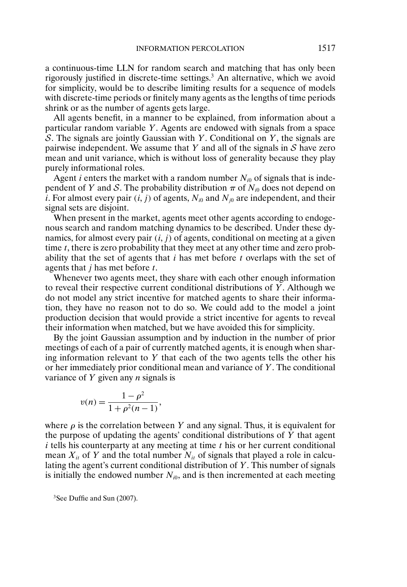a continuous-time LLN for random search and matching that has only been rigorously justified in discrete-time settings.3 An alternative, which we avoid for simplicity, would be to describe limiting results for a sequence of models with discrete-time periods or finitely many agents as the lengths of time periods shrink or as the number of agents gets large.

All agents benefit, in a manner to be explained, from information about a particular random variable Y. Agents are endowed with signals from a space S. The signals are jointly Gaussian with Y. Conditional on Y, the signals are pairwise independent. We assume that Y and all of the signals in  $S$  have zero mean and unit variance, which is without loss of generality because they play purely informational roles.

Agent *i* enters the market with a random number  $N_{i0}$  of signals that is independent of Y and S. The probability distribution  $\pi$  of  $N_{i0}$  does not depend on i. For almost every pair  $(i, j)$  of agents,  $N_{i0}$  and  $N_{i0}$  are independent, and their signal sets are disjoint.

When present in the market, agents meet other agents according to endogenous search and random matching dynamics to be described. Under these dynamics, for almost every pair  $(i, j)$  of agents, conditional on meeting at a given time  $t$ , there is zero probability that they meet at any other time and zero probability that the set of agents that  $i$  has met before  $t$  overlaps with the set of agents that j has met before t.

Whenever two agents meet, they share with each other enough information to reveal their respective current conditional distributions of Y. Although we do not model any strict incentive for matched agents to share their information, they have no reason not to do so. We could add to the model a joint production decision that would provide a strict incentive for agents to reveal their information when matched, but we have avoided this for simplicity.

By the joint Gaussian assumption and by induction in the number of prior meetings of each of a pair of currently matched agents, it is enough when sharing information relevant to  $Y$  that each of the two agents tells the other his or her immediately prior conditional mean and variance of Y. The conditional variance of  $Y$  given any  $n$  signals is

$$
v(n) = \frac{1 - \rho^2}{1 + \rho^2(n - 1)},
$$

where  $\rho$  is the correlation between Y and any signal. Thus, it is equivalent for the purpose of updating the agents' conditional distributions of Y that agent  $i$  tells his counterparty at any meeting at time  $t$  his or her current conditional mean  $X_{it}$  of Y and the total number  $N_{it}$  of signals that played a role in calculating the agent's current conditional distribution of Y. This number of signals is initially the endowed number  $N_{i0}$ , and is then incremented at each meeting

<sup>3</sup>See Duffie and Sun (2007).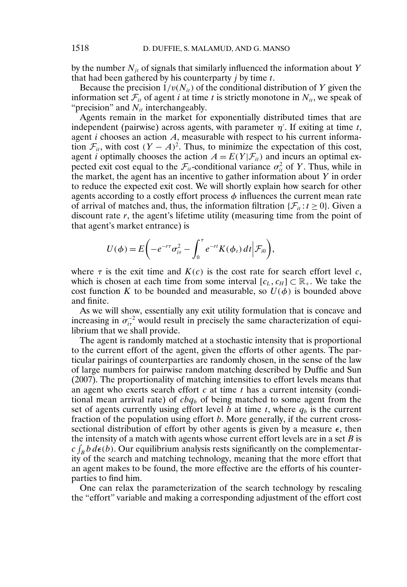by the number  $N_{it}$  of signals that similarly influenced the information about Y that had been gathered by his counterparty  $j$  by time  $t$ .

Because the precision  $1/v(N_{it})$  of the conditional distribution of Y given the information set  $\mathcal{F}_{it}$  of agent i at time t is strictly monotone in  $N_{it}$ , we speak of "precision" and  $N_{it}$  interchangeably.

Agents remain in the market for exponentially distributed times that are independent (pairwise) across agents, with parameter  $\eta'$ . If exiting at time t, agent  $i$  chooses an action  $A$ , measurable with respect to his current information  $\mathcal{F}_{it}$ , with cost  $(Y - A)^2$ . Thus, to minimize the expectation of this cost, agent *i* optimally chooses the action  $A = E(Y|\mathcal{F}_{it})$  and incurs an optimal expected exit cost equal to the  $\mathcal{F}_{it}$ -conditional variance  $\sigma^2_{it}$  of Y. Thus, while in the market, the agent has an incentive to gather information about Y in order to reduce the expected exit cost. We will shortly explain how search for other agents according to a costly effort process  $\phi$  influences the current mean rate of arrival of matches and, thus, the information filtration  $\{\mathcal{F}_{it} : t \geq 0\}$ . Given a discount rate  $r$ , the agent's lifetime utility (measuring time from the point of that agent's market entrance) is

$$
U(\phi) = E\bigg(-e^{-r\tau}\sigma_{i\tau}^2 - \int_0^{\tau}e^{-rt}K(\phi_t) dt \bigg|\mathcal{F}_{i0}\bigg),
$$

where  $\tau$  is the exit time and  $K(c)$  is the cost rate for search effort level c, which is chosen at each time from some interval  $[c_L, c_H] \subset \mathbb{R}_+$ . We take the cost function K to be bounded and measurable, so  $U(\phi)$  is bounded above and finite.

As we will show, essentially any exit utility formulation that is concave and increasing in  $\sigma_{i\tau}^{-2}$  would result in precisely the same characterization of equilibrium that we shall provide.

The agent is randomly matched at a stochastic intensity that is proportional to the current effort of the agent, given the efforts of other agents. The particular pairings of counterparties are randomly chosen, in the sense of the law of large numbers for pairwise random matching described by Duffie and Sun (2007). The proportionality of matching intensities to effort levels means that an agent who exerts search effort  $c$  at time  $t$  has a current intensity (conditional mean arrival rate) of  $cbq_b$  of being matched to some agent from the set of agents currently using effort level b at time t, where  $q<sub>b</sub>$  is the current fraction of the population using effort b. More generally, if the current crosssectional distribution of effort by other agents is given by a measure  $\epsilon$ , then the intensity of a match with agents whose current effort levels are in a set  $B$  is  $c \int_B b \, d\epsilon(b)$ . Our equilibrium analysis rests significantly on the complementarity of the search and matching technology, meaning that the more effort that an agent makes to be found, the more effective are the efforts of his counterparties to find him.

One can relax the parameterization of the search technology by rescaling the "effort" variable and making a corresponding adjustment of the effort cost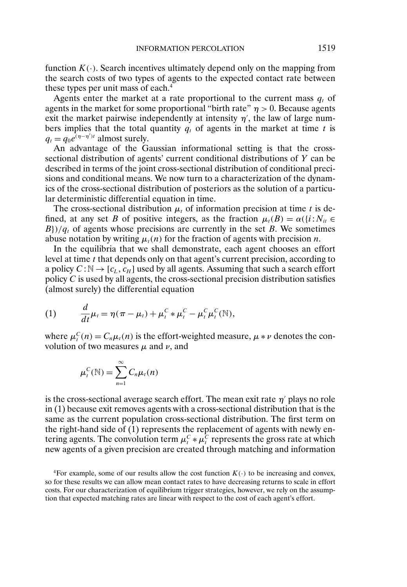function  $K(\cdot)$ . Search incentives ultimately depend only on the mapping from the search costs of two types of agents to the expected contact rate between these types per unit mass of each.<sup>4</sup>

Agents enter the market at a rate proportional to the current mass  $q_t$  of agents in the market for some proportional "birth rate"  $\eta > 0$ . Because agents exit the market pairwise independently at intensity  $\eta'$ , the law of large numbers implies that the total quantity  $q_t$  of agents in the market at time t is  $q_t = q_0 e^{(\eta - \eta')t}$  almost surely.

An advantage of the Gaussian informational setting is that the crosssectional distribution of agents' current conditional distributions of Y can be described in terms of the joint cross-sectional distribution of conditional precisions and conditional means. We now turn to a characterization of the dynamics of the cross-sectional distribution of posteriors as the solution of a particular deterministic differential equation in time.

The cross-sectional distribution  $\mu_t$  of information precision at time t is defined, at any set B of positive integers, as the fraction  $\mu_t(B) = \alpha({i : N_{it} \in$  $B$ )/ $q_t$  of agents whose precisions are currently in the set B. We sometimes abuse notation by writing  $\mu_t(n)$  for the fraction of agents with precision n.

In the equilibria that we shall demonstrate, each agent chooses an effort level at time t that depends only on that agent's current precision, according to a policy  $C : \mathbb{N} \to [c_L, c_H]$  used by all agents. Assuming that such a search effort policy  $C$  is used by all agents, the cross-sectional precision distribution satisfies (almost surely) the differential equation

(1) 
$$
\frac{d}{dt}\mu_t = \eta(\pi - \mu_t) + \mu_t^C * \mu_t^C - \mu_t^C \mu_t^C(\mathbb{N}),
$$

where  $\mu_t^C(n) = C_n \mu_t(n)$  is the effort-weighted measure,  $\mu * \nu$  denotes the convolution of two measures  $\mu$  and  $\nu$ , and

$$
\mu_t^C(\mathbb{N}) = \sum_{n=1}^{\infty} C_n \mu_t(n)
$$

is the cross-sectional average search effort. The mean exit rate  $\eta'$  plays no role in (1) because exit removes agents with a cross-sectional distribution that is the same as the current population cross-sectional distribution. The first term on the right-hand side of (1) represents the replacement of agents with newly entering agents. The convolution term  $\mu_t^C * \mu_t^C$  represents the gross rate at which new agents of a given precision are created through matching and information

<sup>&</sup>lt;sup>4</sup>For example, some of our results allow the cost function  $K(\cdot)$  to be increasing and convex, so for these results we can allow mean contact rates to have decreasing returns to scale in effort costs. For our characterization of equilibrium trigger strategies, however, we rely on the assumption that expected matching rates are linear with respect to the cost of each agent's effort.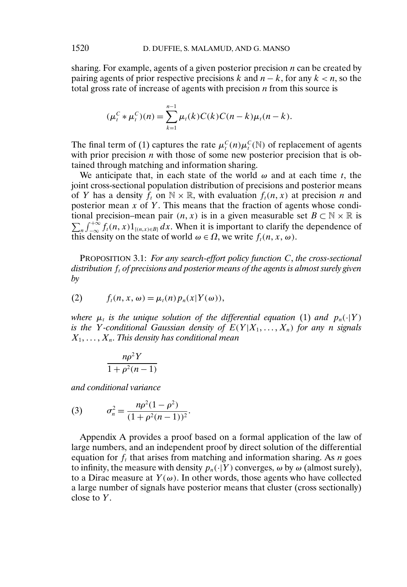sharing. For example, agents of a given posterior precision n can be created by pairing agents of prior respective precisions k and  $n - k$ , for any  $k < n$ , so the total gross rate of increase of agents with precision  $n$  from this source is

$$
(\mu_t^C * \mu_t^C)(n) = \sum_{k=1}^{n-1} \mu_t(k) C(k) C(n-k) \mu_t(n-k).
$$

The final term of (1) captures the rate  $\mu_t^C(n)\mu_t^C(\mathbb{N})$  of replacement of agents with prior precision  $n$  with those of some new posterior precision that is obtained through matching and information sharing.

We anticipate that, in each state of the world  $\omega$  and at each time t, the joint cross-sectional population distribution of precisions and posterior means of Y has a density  $f_t$  on  $\mathbb{N} \times \mathbb{R}$ , with evaluation  $f_t(n, x)$  at precision n and posterior mean  $x$  of  $Y$ . This means that the fraction of agents whose condi- $\sum_{n} \int_{-\infty}^{+\infty} f_t(n, x) 1_{\{(n, x) \in B\}} dx$ . When it is important to clarify the dependence of tional precision–mean pair  $(n, x)$  is in a given measurable set  $B \subset \mathbb{N} \times \mathbb{R}$  is this density on the state of world  $\omega \in \Omega$ , we write  $f_t(n, x, \omega)$ .

PROPOSITION 3.1: *For any search-effort policy function* C, *the cross-sectional distribution*  $f_t$  *of precisions and posterior means of the agents is almost surely given by*

(2) 
$$
f_t(n, x, \omega) = \mu_t(n) p_n(x|Y(\omega)),
$$

*where*  $\mu_t$  *is the unique solution of the differential equation* (1) *and*  $p_n(\cdot|Y)$ is the Y-conditional Gaussian density of  $E(Y|X_1, \ldots, X_n)$  for any n signals  $X_1, \ldots, X_n$ . This density has conditional mean

$$
\frac{n\rho^2Y}{1+\rho^2(n-1)}
$$

*and conditional variance*

(3) 
$$
\sigma_n^2 = \frac{n\rho^2(1-\rho^2)}{(1+\rho^2(n-1))^2}.
$$

Appendix A provides a proof based on a formal application of the law of large numbers, and an independent proof by direct solution of the differential equation for  $f_t$  that arises from matching and information sharing. As n goes to infinity, the measure with density  $p_n(\cdot|Y)$  converges,  $\omega$  by  $\omega$  (almost surely), to a Dirac measure at  $Y(\omega)$ . In other words, those agents who have collected a large number of signals have posterior means that cluster (cross sectionally) close to Y.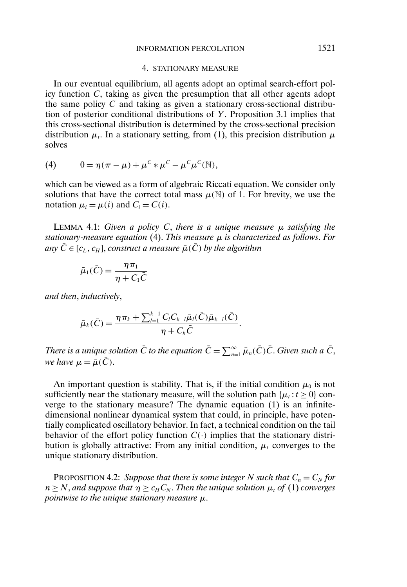# INFORMATION PERCOLATION 1521

# 4. STATIONARY MEASURE

In our eventual equilibrium, all agents adopt an optimal search-effort policy function C, taking as given the presumption that all other agents adopt the same policy  $C$  and taking as given a stationary cross-sectional distribution of posterior conditional distributions of Y. Proposition 3.1 implies that this cross-sectional distribution is determined by the cross-sectional precision distribution  $\mu_t$ . In a stationary setting, from (1), this precision distribution  $\mu$ solves

(4) 
$$
0 = \eta(\pi - \mu) + \mu^{C} * \mu^{C} - \mu^{C} \mu^{C}(\mathbb{N}),
$$

which can be viewed as a form of algebraic Riccati equation. We consider only solutions that have the correct total mass  $\mu(\mathbb{N})$  of 1. For brevity, we use the notation  $\mu_i = \mu(i)$  and  $C_i = C(i)$ .

LEMMA 4.1: *Given a policy* C, *there is a unique measure* μ *satisfying the stationary-measure equation* (4). *This measure* μ *is characterized as follows*. *For any*  $\bar{C} \in [c_L, c_H]$ , *construct a measure*  $\bar{\mu}(\bar{C})$  *by the algorithm* 

$$
\bar{\mu}_1(\bar{C}) = \frac{\eta \pi_1}{\eta + C_1 \bar{C}}
$$

*and then*, *inductively*,

$$
\bar{\mu}_{k}(\bar{C}) = \frac{\eta \pi_{k} + \sum_{l=1}^{k-1} C_{l} C_{k-l} \bar{\mu}_{l}(\bar{C}) \bar{\mu}_{k-l}(\bar{C})}{\eta + C_{k} \bar{C}}.
$$

*There is a unique solution*  $\bar{C}$  *to the equation*  $\bar{C} = \sum_{n=1}^{\infty} \bar{\mu}_n(\bar{C})\bar{C}$ . *Given such a*  $\bar{C}$ , *we have*  $\mu = \bar{\mu}(\bar{C})$ .

An important question is stability. That is, if the initial condition  $\mu_0$  is not sufficiently near the stationary measure, will the solution path  $\{\mu_t : t \geq 0\}$  converge to the stationary measure? The dynamic equation (1) is an infinitedimensional nonlinear dynamical system that could, in principle, have potentially complicated oscillatory behavior. In fact, a technical condition on the tail behavior of the effort policy function  $C(\cdot)$  implies that the stationary distribution is globally attractive: From any initial condition,  $\mu_t$  converges to the unique stationary distribution.

PROPOSITION 4.2: *Suppose that there is some integer* N *such that*  $C_n = C_N$  *for*  $n \geq N$ , and suppose that  $\eta \geq c_H C_N$ . Then the unique solution  $\mu_t$  of (1) converges *pointwise to the unique stationary measure* μ.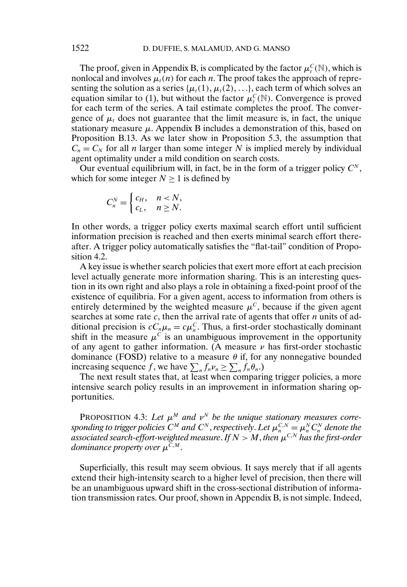The proof, given in Appendix B, is complicated by the factor  $\mu_t^C(\mathbb{N})$ , which is nonlocal and involves  $\mu_t(n)$  for each *n*. The proof takes the approach of representing the solution as a series  $\{\mu_t(1), \mu_t(2), \ldots\}$ , each term of which solves an equation similar to (1), but without the factor  $\mu_t^C(\mathbb{N})$ . Convergence is proved for each term of the series. A tail estimate completes the proof. The convergence of  $\mu_t$  does not guarantee that the limit measure is, in fact, the unique stationary measure  $\mu$ . Appendix B includes a demonstration of this, based on Proposition B.13. As we later show in Proposition 5.3, the assumption that  $C_n = C_N$  for all *n* larger than some integer N is implied merely by individual agent optimality under a mild condition on search costs.

Our eventual equilibrium will, in fact, be in the form of a trigger policy  $C^N$ , which for some integer  $N \geq 1$  is defined by

$$
C_n^N = \begin{cases} c_H, & n < N, \\ c_L, & n \ge N. \end{cases}
$$

In other words, a trigger policy exerts maximal search effort until sufficient information precision is reached and then exerts minimal search effort thereafter. A trigger policy automatically satisfies the "flat-tail" condition of Proposition 4.2.

A key issue is whether search policies that exert more effort at each precision level actually generate more information sharing. This is an interesting question in its own right and also plays a role in obtaining a fixed-point proof of the existence of equilibria. For a given agent, access to information from others is entirely determined by the weighted measure  $\mu^c$ , because if the given agent searches at some rate  $c$ , then the arrival rate of agents that offer  $n$  units of additional precision is  $cC_n\mu_n = c\mu_n^C$ . Thus, a first-order stochastically dominant shift in the measure  $\mu^C$  is an unambiguous improvement in the opportunity of any agent to gather information. (A measure  $\nu$  has first-order stochastic dominance (FOSD) relative to a measure  $\theta$  if, for any nonnegative bounded increasing sequence f, we have  $\sum_n f_n \nu_n \ge \sum_n f_n \theta_n$ .)

The next result states that, at least when comparing trigger policies, a more intensive search policy results in an improvement in information sharing opportunities.

PROPOSITION 4.3: Let  $\mu^M$  and  $\nu^N$  be the unique stationary measures corresponding to trigger policies  $C^M$  and  $C^N$ , respectively. Let  $\mu_n^{C,N} = \mu_n^N C_n^N$  denote the  $\hat{a}$ ssociated search-effort-weighted measure. If  $N > M$ , then  $\mu^{C,N}$  has the first-order *dominance property over*  $\mu^{C,M}$ .

Superficially, this result may seem obvious. It says merely that if all agents extend their high-intensity search to a higher level of precision, then there will be an unambiguous upward shift in the cross-sectional distribution of information transmission rates. Our proof, shown in Appendix B, is not simple. Indeed,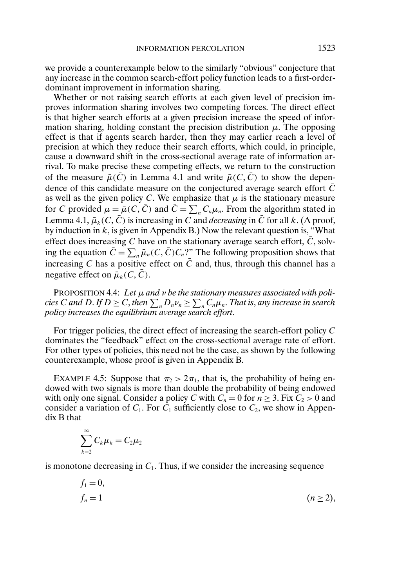we provide a counterexample below to the similarly "obvious" conjecture that any increase in the common search-effort policy function leads to a first-orderdominant improvement in information sharing.

Whether or not raising search efforts at each given level of precision improves information sharing involves two competing forces. The direct effect is that higher search efforts at a given precision increase the speed of information sharing, holding constant the precision distribution  $\mu$ . The opposing effect is that if agents search harder, then they may earlier reach a level of precision at which they reduce their search efforts, which could, in principle, cause a downward shift in the cross-sectional average rate of information arrival. To make precise these competing effects, we return to the construction of the measure  $\bar{\mu}(\bar{C})$  in Lemma 4.1 and write  $\bar{\mu}(C, \bar{C})$  to show the dependence of this candidate measure on the conjectured average search effort  $\bar{C}$ as well as the given policy C. We emphasize that  $\mu$  is the stationary measure for C provided  $\mu = \bar{\mu}(C, \bar{C})$  and  $\bar{C} = \sum_{n} C_n \mu_n$ . From the algorithm stated in Lemma 4.1,  $\bar{\mu}_k(C, \bar{C})$  is increasing in C and *decreasing* in  $\bar{C}$  for all k. (A proof, by induction in  $k$ , is given in Appendix B.) Now the relevant question is, "What effect does increasing C have on the stationary average search effort,  $\overline{C}$ , solving the equation  $\bar{C} = \sum_{n} \bar{\mu}_n(C, \bar{C}) C_n$ ?" The following proposition shows that increasing C has a positive effect on  $\overline{C}$  and, thus, through this channel has a negative effect on  $\bar{\mu}_k(C, \bar{C})$ .

PROPOSITION 4.4: *Let* μ *and* ν *be the stationary measures associated with policies* C and D. If  $D \ge C$ , then  $\sum_n D_n \nu_n \ge \sum_n C_n \mu_n$ . That is, any increase in search *policy increases the equilibrium average search effort*.

For trigger policies, the direct effect of increasing the search-effort policy C dominates the "feedback" effect on the cross-sectional average rate of effort. For other types of policies, this need not be the case, as shown by the following counterexample, whose proof is given in Appendix B.

EXAMPLE 4.5: Suppose that  $\pi_2 > 2\pi_1$ , that is, the probability of being endowed with two signals is more than double the probability of being endowed with only one signal. Consider a policy C with  $C_n = 0$  for  $n \ge 3$ . Fix  $C_2 > 0$  and consider a variation of  $C_1$ . For  $C_1$  sufficiently close to  $C_2$ , we show in Appendix B that

$$
\sum_{k=2}^{\infty} C_k \mu_k = C_2 \mu_2
$$

is monotone decreasing in  $C_1$ . Thus, if we consider the increasing sequence

$$
f_1 = 0,
$$
  
\n
$$
f_n = 1
$$
\n
$$
(n \ge 2),
$$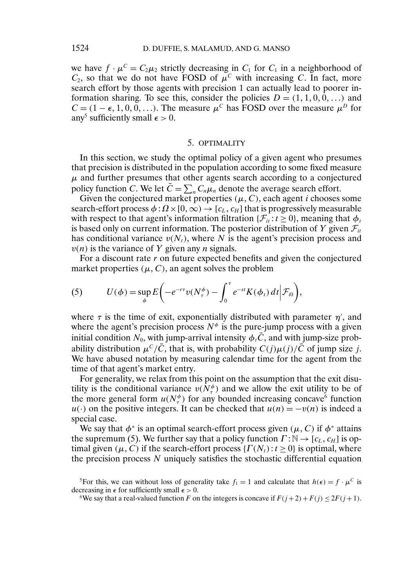we have  $f \cdot \mu^C = C_2 \mu_2$  strictly decreasing in  $C_1$  for  $C_1$  in a neighborhood of  $C_2$ , so that we do not have FOSD of  $\mu^C$  with increasing C. In fact, more search effort by those agents with precision 1 can actually lead to poorer information sharing. To see this, consider the policies  $D = (1, 1, 0, 0, ...)$  and  $C = (1 - \epsilon, 1, 0, 0, \ldots)$ . The measure  $\mu^C$  has FOSD over the measure  $\mu^D$  for any<sup>5</sup> sufficiently small  $\epsilon > 0$ .

## 5. OPTIMALITY

In this section, we study the optimal policy of a given agent who presumes that precision is distributed in the population according to some fixed measure  $\mu$  and further presumes that other agents search according to a conjectured policy function C. We let  $\bar{C} = \sum_n C_n \mu_n$  denote the average search effort.

Given the conjectured market properties  $(\mu, C)$ , each agent *i* chooses some search-effort process  $\phi : \Omega \times [0, \infty) \to [c_L, c_H]$  that is progressively measurable with respect to that agent's information filtration { $\mathcal{F}_{it} : t \ge 0$ }, meaning that  $\phi_t$ is based only on current information. The posterior distribution of Y given  $\mathcal{F}_{it}$ has conditional variance  $v(N<sub>t</sub>)$ , where N is the agent's precision process and  $v(n)$  is the variance of Y given any *n* signals.

For a discount rate r on future expected benefits and given the conjectured market properties  $(\mu, C)$ , an agent solves the problem

(5) 
$$
U(\phi) = \sup_{\phi} E\bigg(-e^{-r\tau}v(N_{\tau}^{\phi}) - \int_0^{\tau} e^{-st}K(\phi_t) dt \bigg|\mathcal{F}_{i0}\bigg),
$$

where  $\tau$  is the time of exit, exponentially distributed with parameter  $\eta'$ , and where the agent's precision process  $N^{\phi}$  is the pure-jump process with a given initial condition  $N_0$ , with jump-arrival intensity  $\phi_t\bar{C}$ , and with jump-size probability distribution  $\mu^C/\overline{C}$ , that is, with probability  $C(j)\mu(j)/\overline{C}$  of jump size j. We have abused notation by measuring calendar time for the agent from the time of that agent's market entry.

For generality, we relax from this point on the assumption that the exit disutility is the conditional variance  $v(N_\tau^{\phi})$  and we allow the exit utility to be of the more general form  $u(N_\tau^{\phi})$  for any bounded increasing concave<sup>6</sup> function  $u(\cdot)$  on the positive integers. It can be checked that  $u(n) = -v(n)$  is indeed a special case.

We say that  $\phi^*$  is an optimal search-effort process given  $(\mu, C)$  if  $\phi^*$  attains the supremum (5). We further say that a policy function  $\Gamma : \mathbb{N} \to [c_L, c_H]$  is optimal given ( $\mu$ , C) if the search-effort process { $\Gamma(N_t)$  :  $t \ge 0$ } is optimal, where the precision process N uniquely satisfies the stochastic differential equation

<sup>&</sup>lt;sup>5</sup>For this, we can without loss of generality take  $f_1 = 1$  and calculate that  $h(\epsilon) = f \cdot \mu^C$  is decreasing in  $\epsilon$  for sufficiently small  $\epsilon > 0$ .

<sup>&</sup>lt;sup>6</sup>We say that a real-valued function F on the integers is concave if  $F(j+2)+F(j) \le 2F(j+1)$ .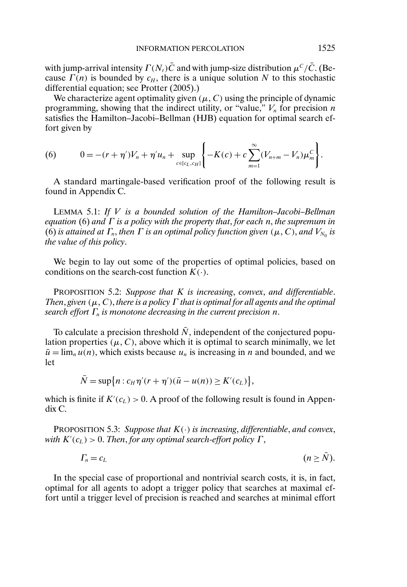with jump-arrival intensity  $\Gamma(N_t)\overline{C}$  and with jump-size distribution  $\mu^C/\overline{C}$ . (Because  $\Gamma(n)$  is bounded by  $c_H$ , there is a unique solution N to this stochastic differential equation; see Protter (2005).)

We characterize agent optimality given  $(\mu, C)$  using the principle of dynamic programming, showing that the indirect utility, or "value,"  $V_n$  for precision n satisfies the Hamilton–Jacobi–Bellman (HJB) equation for optimal search effort given by

(6) 
$$
0 = -(r + \eta')V_n + \eta'u_n + \sup_{c \in [c_L, c_H]} \left\{-K(c) + c \sum_{m=1}^{\infty} (V_{n+m} - V_n) \mu_m^c\right\}.
$$

A standard martingale-based verification proof of the following result is found in Appendix C.

LEMMA 5.1: *If* V *is a bounded solution of the Hamilton–Jacobi–Bellman equation* (6) *and* Γ *is a policy with the property that*, *for each* n, *the supremum in* (6) *is attained at*  $\Gamma_n$ , *then*  $\Gamma$  *is an optimal policy function given*  $(\mu, C)$ *, and*  $V_{N_0}$  *is the value of this policy*.

We begin to lay out some of the properties of optimal policies, based on conditions on the search-cost function  $K(\cdot)$ .

PROPOSITION 5.2: *Suppose that* K *is increasing*, *convex*, *and differentiable*. *Then*, *given* ( $\mu$ , C), *there is a policy*  $\Gamma$  *that is optimal for all agents and the optimal search effort*  $\Gamma_n$  *is monotone decreasing in the current precision n.* 

To calculate a precision threshold  $\overline{N}$ , independent of the conjectured population properties  $(\mu, C)$ , above which it is optimal to search minimally, we let  $\bar{u} = \lim_{n \to \infty} u(n)$ , which exists because  $u_n$  is increasing in n and bounded, and we let

$$
\bar{N} = \sup\{n : c_H \eta'(r + \eta')(\bar{u} - u(n)) \ge K'(c_L)\},\
$$

which is finite if  $K'(c_L) > 0$ . A proof of the following result is found in Appendix C.

PROPOSITION 5.3: Suppose that  $K(\cdot)$  is increasing, differentiable, and convex,  $\mathcal{L}(\mathcal{C}_L) > 0$ . *Then, for any optimal search-effort policy*  $\Gamma$ ,

 $\Gamma_n = c_L$  ( $n \ge \bar{N}$ ).

In the special case of proportional and nontrivial search costs, it is, in fact, optimal for all agents to adopt a trigger policy that searches at maximal effort until a trigger level of precision is reached and searches at minimal effort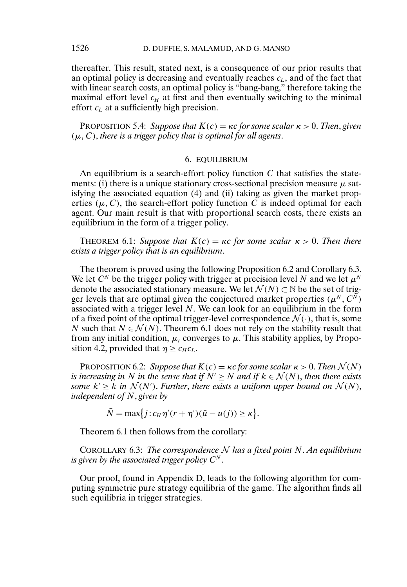thereafter. This result, stated next, is a consequence of our prior results that an optimal policy is decreasing and eventually reaches  $c<sub>L</sub>$ , and of the fact that with linear search costs, an optimal policy is "bang-bang," therefore taking the maximal effort level  $c_H$  at first and then eventually switching to the minimal effort  $c<sub>L</sub>$  at a sufficiently high precision.

PROPOSITION 5.4: *Suppose that*  $K(c) = \kappa c$  *for some scalar*  $\kappa > 0$ *. Then, given*  $(\mu, C)$ , *there is a trigger policy that is optimal for all agents.* 

# 6. EQUILIBRIUM

An equilibrium is a search-effort policy function  $C$  that satisfies the statements: (i) there is a unique stationary cross-sectional precision measure  $\mu$  satisfying the associated equation (4) and (ii) taking as given the market properties  $(\mu, C)$ , the search-effort policy function C is indeed optimal for each agent. Our main result is that with proportional search costs, there exists an equilibrium in the form of a trigger policy.

THEOREM 6.1: *Suppose that*  $K(c) = \kappa c$  *for some scalar*  $\kappa > 0$ *. Then there exists a trigger policy that is an equilibrium*.

The theorem is proved using the following Proposition 6.2 and Corollary 6.3. We let  $C^N$  be the trigger policy with trigger at precision level N and we let  $\mu^N$ denote the associated stationary measure. We let  $\mathcal{N}(N) \subset \mathbb{N}$  be the set of trigger levels that are optimal given the conjectured market properties  $(\mu^N, C^N)$ associated with a trigger level  $N$ . We can look for an equilibrium in the form of a fixed point of the optimal trigger-level correspondence  $\mathcal{N}(\cdot)$ , that is, some N such that  $N \in \mathcal{N}(N)$ . Theorem 6.1 does not rely on the stability result that from any initial condition,  $\mu_t$  converges to  $\mu$ . This stability applies, by Proposition 4.2, provided that  $\eta \geq c_H c_L$ .

PROPOSITION 6.2: *Suppose that*  $K(c) = \kappa c$  *for some scalar*  $\kappa > 0$ *. Then*  $\mathcal{N}(N)$ *is increasing in* N *in the sense that if*  $N' \ge N$  *and if*  $k \in \mathcal{N}(N)$ , *then there exists* some  $k' \geq k$  in  $\mathcal{N}(N')$ . *Further*, *there exists a uniform upper bound on*  $\mathcal{N}(N)$ , *independent of* N, *given by*

 $\bar{N} = \max\{j : c_H \eta'(r + \eta')(\bar{u} - u(j)) \geq \kappa\}.$ 

Theorem 6.1 then follows from the corollary:

COROLLARY 6.3: *The correspondence* N *has a fixed point* N. *An equilibrium is given by the associated trigger policy*  $C^N$ .

Our proof, found in Appendix D, leads to the following algorithm for computing symmetric pure strategy equilibria of the game. The algorithm finds all such equilibria in trigger strategies.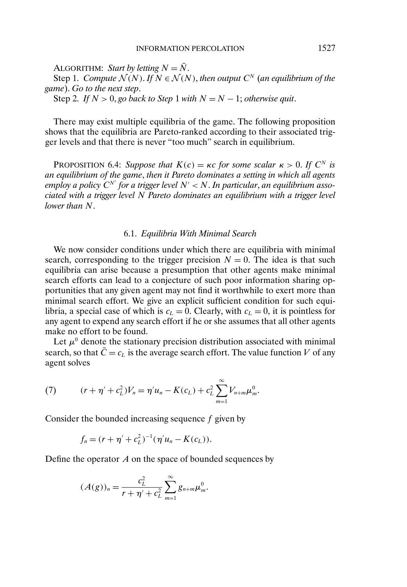ALGORITHM: *Start by letting*  $N = N$ . Step 1. *Compute*  $\mathcal{N}(N)$ . If  $N \in \mathcal{N}(N)$ , then output  $C^N$  (an equilibrium of the *game*). *Go to the next step*. Step 2. *If*  $N > 0$ , *go back to Step* 1 *with*  $N = N - 1$ ; *otherwise quit.* 

There may exist multiple equilibria of the game. The following proposition shows that the equilibria are Pareto-ranked according to their associated trigger levels and that there is never "too much" search in equilibrium.

PROPOSITION 6.4: *Suppose that*  $K(c) = \kappa c$  *for some scalar*  $\kappa > 0$ . If  $C^N$  *is an equilibrium of the game*, *then it Pareto dominates a setting in which all agents* employ a policy  $C^{\scriptscriptstyle N'}$  for a trigger level N' < N . In particular, an equilibrium asso*ciated with a trigger level* N *Pareto dominates an equilibrium with a trigger level lower than* N.

# 6.1. *Equilibria With Minimal Search*

We now consider conditions under which there are equilibria with minimal search, corresponding to the trigger precision  $N = 0$ . The idea is that such equilibria can arise because a presumption that other agents make minimal search efforts can lead to a conjecture of such poor information sharing opportunities that any given agent may not find it worthwhile to exert more than minimal search effort. We give an explicit sufficient condition for such equilibria, a special case of which is  $c_L = 0$ . Clearly, with  $c_L = 0$ , it is pointless for any agent to expend any search effort if he or she assumes that all other agents make no effort to be found.

Let  $\mu^0$  denote the stationary precision distribution associated with minimal search, so that  $\overline{C} = c_L$  is the average search effort. The value function V of any agent solves

(7) 
$$
(r + \eta' + c_L^2)V_n = \eta' u_n - K(c_L) + c_L^2 \sum_{m=1}^{\infty} V_{n+m} \mu_m^0.
$$

Consider the bounded increasing sequence f given by

$$
f_n = (r + \eta' + c_L^2)^{-1}(\eta' u_n - K(c_L)).
$$

Define the operator  $\vec{A}$  on the space of bounded sequences by

$$
(A(g))_n = \frac{c_L^2}{r + \eta' + c_L^2} \sum_{m=1}^{\infty} g_{n+m} \mu_m^0.
$$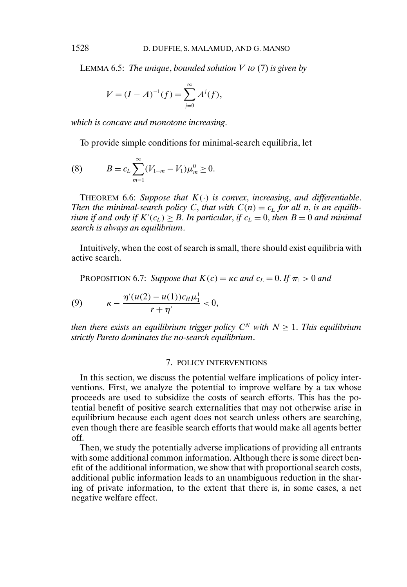LEMMA 6.5: *The unique*, *bounded solution* V *to* (7) *is given by*

$$
V = (I - A)^{-1}(f) = \sum_{j=0}^{\infty} A^{j}(f),
$$

*which is concave and monotone increasing*.

To provide simple conditions for minimal-search equilibria, let

(8) 
$$
B = c_L \sum_{m=1}^{\infty} (V_{1+m} - V_1) \mu_m^0 \ge 0.
$$

THEOREM 6.6: *Suppose that* K(·) *is convex*, *increasing*, *and differentiable*. *Then the minimal-search policy C, that with*  $C(n) = c_L$  *for all n, is an equilibrium if and only if*  $K'(c_L) \geq B$ . In particular, if  $c_L = 0$ , then  $B = 0$  and minimal *search is always an equilibrium*.

Intuitively, when the cost of search is small, there should exist equilibria with active search.

PROPOSITION 6.7: *Suppose that*  $K(c) = \kappa c$  *and*  $c_L = 0$ . If  $\pi_1 > 0$  *and* 

(9) 
$$
\kappa - \frac{\eta'(u(2) - u(1))c_H\mu_1^1}{r + \eta'} < 0,
$$

*then there exists an equilibrium trigger policy*  $C^N$  *with*  $N \geq 1$ *. This equilibrium strictly Pareto dominates the no-search equilibrium*.

#### 7. POLICY INTERVENTIONS

In this section, we discuss the potential welfare implications of policy interventions. First, we analyze the potential to improve welfare by a tax whose proceeds are used to subsidize the costs of search efforts. This has the potential benefit of positive search externalities that may not otherwise arise in equilibrium because each agent does not search unless others are searching, even though there are feasible search efforts that would make all agents better off.

Then, we study the potentially adverse implications of providing all entrants with some additional common information. Although there is some direct benefit of the additional information, we show that with proportional search costs, additional public information leads to an unambiguous reduction in the sharing of private information, to the extent that there is, in some cases, a net negative welfare effect.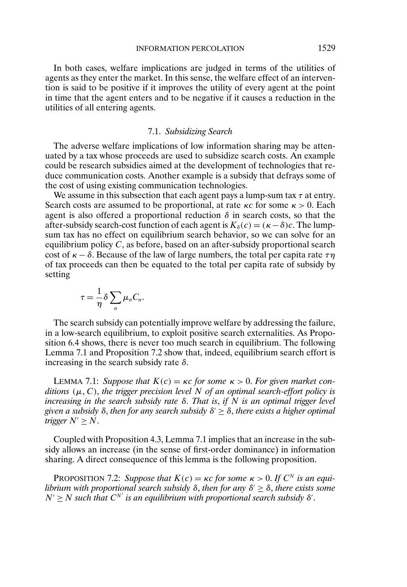In both cases, welfare implications are judged in terms of the utilities of agents as they enter the market. In this sense, the welfare effect of an intervention is said to be positive if it improves the utility of every agent at the point in time that the agent enters and to be negative if it causes a reduction in the utilities of all entering agents.

#### 7.1. *Subsidizing Search*

The adverse welfare implications of low information sharing may be attenuated by a tax whose proceeds are used to subsidize search costs. An example could be research subsidies aimed at the development of technologies that reduce communication costs. Another example is a subsidy that defrays some of the cost of using existing communication technologies.

We assume in this subsection that each agent pays a lump-sum tax  $\tau$  at entry. Search costs are assumed to be proportional, at rate  $\kappa c$  for some  $\kappa > 0$ . Each agent is also offered a proportional reduction  $\delta$  in search costs, so that the after-subsidy search-cost function of each agent is  $K_\delta(c) = (\kappa - \delta)c$ . The lumpsum tax has no effect on equilibrium search behavior, so we can solve for an equilibrium policy  $C$ , as before, based on an after-subsidy proportional search cost of  $\kappa - \delta$ . Because of the law of large numbers, the total per capita rate  $\tau \eta$ of tax proceeds can then be equated to the total per capita rate of subsidy by setting

$$
\tau = \frac{1}{\eta} \delta \sum_{n} \mu_{n} C_{n}.
$$

The search subsidy can potentially improve welfare by addressing the failure, in a low-search equilibrium, to exploit positive search externalities. As Proposition 6.4 shows, there is never too much search in equilibrium. The following Lemma 7.1 and Proposition 7.2 show that, indeed, equilibrium search effort is increasing in the search subsidy rate  $\delta$ .

LEMMA 7.1: *Suppose that*  $K(c) = \kappa c$  *for some*  $\kappa > 0$ *. For given market conditions*  $(\mu, C)$ , *the trigger precision level* N *of an optimal search-effort policy is increasing in the search subsidy rate* δ. *That is*, *if* N *is an optimal trigger level*  $given a$  subsidy  $\delta$ , *then for any search subsidy*  $\delta' \geq \delta$ , *there exists a higher optimal* trigger  $N' \geq N$ .

Coupled with Proposition 4.3, Lemma 7.1 implies that an increase in the subsidy allows an increase (in the sense of first-order dominance) in information sharing. A direct consequence of this lemma is the following proposition.

PROPOSITION 7.2: Suppose that  $K(c) = \kappa c$  for some  $\kappa > 0$ . If  $C^N$  is an equi- $$  $N' \ge N$  such that  $C^{N'}$  is an equilibrium with proportional search subsidy  $\delta'$ .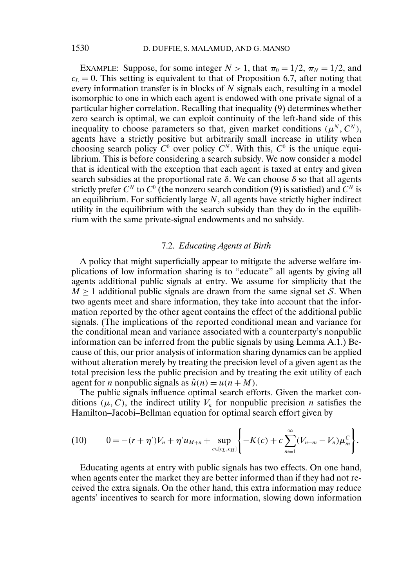EXAMPLE: Suppose, for some integer  $N > 1$ , that  $\pi_0 = 1/2$ ,  $\pi_N = 1/2$ , and  $c<sub>L</sub> = 0$ . This setting is equivalent to that of Proposition 6.7, after noting that every information transfer is in blocks of  $N$  signals each, resulting in a model isomorphic to one in which each agent is endowed with one private signal of a particular higher correlation. Recalling that inequality (9) determines whether zero search is optimal, we can exploit continuity of the left-hand side of this inequality to choose parameters so that, given market conditions  $(\mu^N, C^N)$ , agents have a strictly positive but arbitrarily small increase in utility when choosing search policy  $C^0$  over policy  $C^N$ . With this,  $C^0$  is the unique equilibrium. This is before considering a search subsidy. We now consider a model that is identical with the exception that each agent is taxed at entry and given search subsidies at the proportional rate  $\delta$ . We can choose  $\delta$  so that all agents strictly prefer  $C^N$  to  $C^0$  (the nonzero search condition (9) is satisfied) and  $C^N$  is an equilibrium. For sufficiently large  $N$ , all agents have strictly higher indirect utility in the equilibrium with the search subsidy than they do in the equilibrium with the same private-signal endowments and no subsidy.

# 7.2. *Educating Agents at Birth*

A policy that might superficially appear to mitigate the adverse welfare implications of low information sharing is to "educate" all agents by giving all agents additional public signals at entry. We assume for simplicity that the  $M \ge 1$  additional public signals are drawn from the same signal set S. When two agents meet and share information, they take into account that the information reported by the other agent contains the effect of the additional public signals. (The implications of the reported conditional mean and variance for the conditional mean and variance associated with a counterparty's nonpublic information can be inferred from the public signals by using Lemma A.1.) Because of this, our prior analysis of information sharing dynamics can be applied without alteration merely by treating the precision level of a given agent as the total precision less the public precision and by treating the exit utility of each agent for *n* nonpublic signals as  $\hat{u}(n) = u(n + M)$ .

The public signals influence optimal search efforts. Given the market conditions  $(\mu, C)$ , the indirect utility  $V_n$  for nonpublic precision *n* satisfies the Hamilton–Jacobi–Bellman equation for optimal search effort given by

(10) 
$$
0 = -(r + \eta')V_n + \eta' u_{M+n} + \sup_{c \in [c_L, c_H]} \left\{-K(c) + c \sum_{m=1}^{\infty} (V_{n+m} - V_n) \mu_m^c \right\}.
$$

Educating agents at entry with public signals has two effects. On one hand, when agents enter the market they are better informed than if they had not received the extra signals. On the other hand, this extra information may reduce agents' incentives to search for more information, slowing down information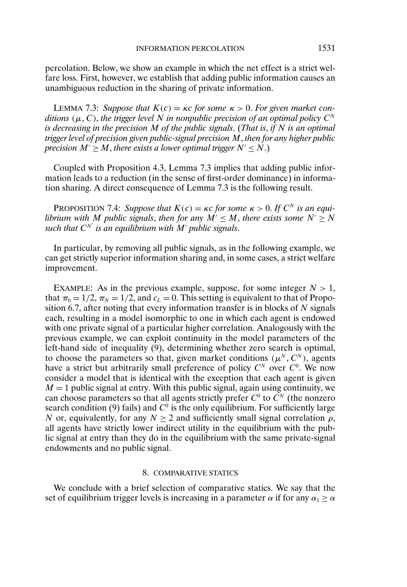percolation. Below, we show an example in which the net effect is a strict welfare loss. First, however, we establish that adding public information causes an unambiguous reduction in the sharing of private information.

LEMMA 7.3: *Suppose that*  $K(c) = \kappa c$  *for some*  $\kappa > 0$ *. For given market conditions*  $(\mu, C)$ , *the trigger level N in nonpublic precision of an optimal policy*  $C^N$ *is decreasing in the precision* M *of the public signals*. (*That is*, *if* N *is an optimal trigger level of precision given public-signal precision* M, *then for any higher public precision*  $M' \geq M$ , *there exists a lower optimal trigger*  $N' \leq N$ .)

Coupled with Proposition 4.3, Lemma 7.3 implies that adding public information leads to a reduction (in the sense of first-order dominance) in information sharing. A direct consequence of Lemma 7.3 is the following result.

PROPOSITION 7.4: *Suppose that*  $K(c) = \kappa c$  *for some*  $\kappa > 0$ . If  $C^N$  *is an equilibrium with* M *public signals, then for any*  $M' \leq M$ *, there exists some*  $N' \geq N$ such that  $C^{N'}$  is an equilibrium with M' public signals.

In particular, by removing all public signals, as in the following example, we can get strictly superior information sharing and, in some cases, a strict welfare improvement.

EXAMPLE: As in the previous example, suppose, for some integer  $N > 1$ , that  $\pi_0 = 1/2$ ,  $\pi_N = 1/2$ , and  $c_L = 0$ . This setting is equivalent to that of Proposition 6.7, after noting that every information transfer is in blocks of  $N$  signals each, resulting in a model isomorphic to one in which each agent is endowed with one private signal of a particular higher correlation. Analogously with the previous example, we can exploit continuity in the model parameters of the left-hand side of inequality (9), determining whether zero search is optimal, to choose the parameters so that, given market conditions ( $\mu^N$ ,  $C^N$ ), agents have a strict but arbitrarily small preference of policy  $C^N$  over  $C^0$ . We now consider a model that is identical with the exception that each agent is given  $M = 1$  public signal at entry. With this public signal, again using continuity, we can choose parameters so that all agents strictly prefer  $C^0$  to  $\check{C}^N$  (the nonzero search condition (9) fails) and  $C^0$  is the only equilibrium. For sufficiently large N or, equivalently, for any  $N > 2$  and sufficiently small signal correlation  $\rho$ , all agents have strictly lower indirect utility in the equilibrium with the public signal at entry than they do in the equilibrium with the same private-signal endowments and no public signal.

## 8. COMPARATIVE STATICS

We conclude with a brief selection of comparative statics. We say that the set of equilibrium trigger levels is increasing in a parameter  $\alpha$  if for any  $\alpha_1 \geq \alpha$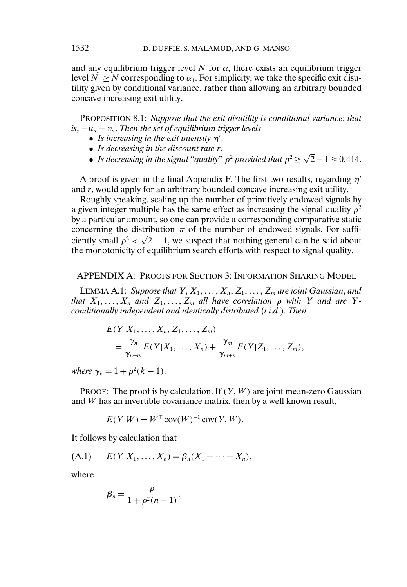and any equilibrium trigger level N for  $\alpha$ , there exists an equilibrium trigger level  $N_1 \ge N$  corresponding to  $\alpha_1$ . For simplicity, we take the specific exit disutility given by conditional variance, rather than allowing an arbitrary bounded concave increasing exit utility.

PROPOSITION 8.1: *Suppose that the exit disutility is conditional variance*; *that*  $is, -u_n = v_n$ . *Then the set of equilibrium trigger levels* 

- Is increasing in the exit intensity  $\eta'$ .
- *Is decreasing in the discount rate* r.
- *Is decreasing in the alscount rate r*.<br>• Is decreasing in the signal "quality"  $\rho^2$  provided that  $\rho^2 \geq \sqrt{2}-1 \approx 0.414$ .

A proof is given in the final Appendix F. The first two results, regarding  $\eta'$ and r, would apply for an arbitrary bounded concave increasing exit utility.

Roughly speaking, scaling up the number of primitively endowed signals by a given integer multiple has the same effect as increasing the signal quality  $\rho^2$ by a particular amount, so one can provide a corresponding comparative static concerning the distribution  $\pi$  of the number of endowed signals. For sufficoncerning the distribution  $\pi$  of the number of endowed signals. For sufficiently small  $\rho^2 < \sqrt{2} - 1$ , we suspect that nothing general can be said about the monotonicity of equilibrium search efforts with respect to signal quality.

#### APPENDIX A: PROOFS FOR SECTION 3: INFORMATION SHARING MODEL

LEMMA A.1: Suppose that  $Y, X_1, \ldots, X_n, Z_1, \ldots, Z_m$  are joint Gaussian, and *that*  $X_1, \ldots, X_n$  *and*  $Z_1, \ldots, Z_m$  *all have correlation*  $\rho$  *with* Y *and are* Y*conditionally independent and identically distributed* (*i*.*i*.*d*.). *Then*

$$
E(Y|X_1,\ldots,X_n,Z_1,\ldots,Z_m)
$$
  
= 
$$
\frac{\gamma_n}{\gamma_{n+m}}E(Y|X_1,\ldots,X_n)+\frac{\gamma_m}{\gamma_{m+n}}E(Y|Z_1,\ldots,Z_m),
$$

*where*  $\gamma_k = 1 + \rho^2(k-1)$ .

PROOF: The proof is by calculation. If  $(Y, W)$  are joint mean-zero Gaussian and  $W$  has an invertible covariance matrix, then by a well known result,

$$
E(Y|W) = W^{\top} \text{cov}(W)^{-1} \text{cov}(Y, W).
$$

It follows by calculation that

(A.1)  $E(Y|X_1,\ldots,X_n) = \beta_n(X_1+\cdots+X_n),$ 

where

$$
\beta_n=\frac{\rho}{1+\rho^2(n-1)}.
$$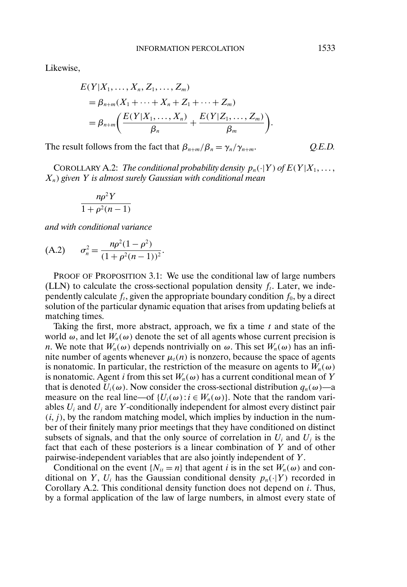Likewise,

$$
E(Y|X_1, ..., X_n, Z_1, ..., Z_m)
$$
  
=  $\beta_{n+m}(X_1 + ... + X_n + Z_1 + ... + Z_m)$   
=  $\beta_{n+m}\left(\frac{E(Y|X_1, ..., X_n)}{\beta_n} + \frac{E(Y|Z_1, ..., Z_m)}{\beta_m}\right).$ 

The result follows from the fact that  $\beta_{n+m}/\beta_n = \gamma_n/\gamma_{n+m}$ . *Q.E.D.* 

COROLLARY A.2: *The conditional probability density*  $p_n(\cdot|Y)$  of  $E(Y|X_1, \ldots, Y_n)$ Xn) *given* Y *is almost surely Gaussian with conditional mean*

$$
\frac{n\rho^2 Y}{1 + \rho^2 (n-1)}
$$

*and with conditional variance*

$$
(A.2) \qquad \sigma_n^2 = \frac{n\rho^2(1-\rho^2)}{(1+\rho^2(n-1))^2}.
$$

PROOF OF PROPOSITION 3.1: We use the conditional law of large numbers (LLN) to calculate the cross-sectional population density  $f_t$ . Later, we independently calculate  $f_t$ , given the appropriate boundary condition  $f_0$ , by a direct solution of the particular dynamic equation that arises from updating beliefs at matching times.

Taking the first, more abstract, approach, we fix a time  $t$  and state of the world  $\omega$ , and let  $W_n(\omega)$  denote the set of all agents whose current precision is *n*. We note that  $W_n(\omega)$  depends nontrivially on  $\omega$ . This set  $W_n(\omega)$  has an infinite number of agents whenever  $\mu_t(n)$  is nonzero, because the space of agents is nonatomic. In particular, the restriction of the measure on agents to  $W_n(\omega)$ is nonatomic. Agent *i* from this set  $W_n(\omega)$  has a current conditional mean of Y that is denoted  $U_i(\omega)$ . Now consider the cross-sectional distribution  $q_n(\omega)$ —a measure on the real line—of  $\{U_i(\omega): i \in W_n(\omega)\}\)$ . Note that the random variables  $U_i$  and  $U_j$  are Y-conditionally independent for almost every distinct pair  $(i, j)$ , by the random matching model, which implies by induction in the number of their finitely many prior meetings that they have conditioned on distinct subsets of signals, and that the only source of correlation in  $U_i$  and  $U_j$  is the fact that each of these posteriors is a linear combination of Y and of other pairwise-independent variables that are also jointly independent of Y.

Conditional on the event  $\{N_{it} = n\}$  that agent *i* is in the set  $W_n(\omega)$  and conditional on Y,  $U_i$  has the Gaussian conditional density  $p_n(\cdot|Y)$  recorded in Corollary A.2. This conditional density function does not depend on i. Thus, by a formal application of the law of large numbers, in almost every state of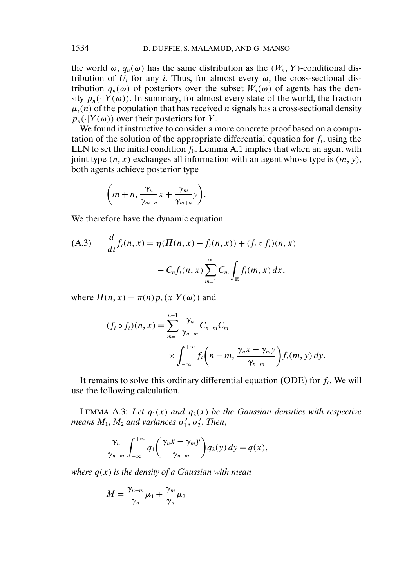the world  $\omega$ ,  $q_n(\omega)$  has the same distribution as the  $(W_n, Y)$ -conditional distribution of  $U_i$  for any i. Thus, for almost every  $\omega$ , the cross-sectional distribution  $q_n(\omega)$  of posteriors over the subset  $W_n(\omega)$  of agents has the density  $p_n(\cdot|Y(\omega))$ . In summary, for almost every state of the world, the fraction  $\mu_t(n)$  of the population that has received *n* signals has a cross-sectional density  $p_n(\cdot|Y(\omega))$  over their posteriors for Y.

We found it instructive to consider a more concrete proof based on a computation of the solution of the appropriate differential equation for  $f_t$ , using the LLN to set the initial condition  $f_0$ . Lemma A.1 implies that when an agent with joint type  $(n, x)$  exchanges all information with an agent whose type is  $(m, y)$ , both agents achieve posterior type

$$
\bigg(m+n,\frac{\gamma_n}{\gamma_{m+n}}x+\frac{\gamma_m}{\gamma_{m+n}}y\bigg).
$$

We therefore have the dynamic equation

(A.3) 
$$
\frac{d}{dt} f_t(n, x) = \eta(\Pi(n, x) - f_t(n, x)) + (f_t \circ f_t)(n, x) - C_n f_t(n, x) \sum_{m=1}^{\infty} C_m \int_{\mathbb{R}} f_t(m, x) dx,
$$

where  $\Pi(n, x) = \pi(n) p_n(x|Y(\omega))$  and

$$
(f_t \circ f_t)(n, x) = \sum_{m=1}^{n-1} \frac{\gamma_n}{\gamma_{n-m}} C_{n-m} C_m
$$
  
 
$$
\times \int_{-\infty}^{+\infty} f_t \left( n - m, \frac{\gamma_n x - \gamma_m y}{\gamma_{n-m}} \right) f_t(m, y) dy.
$$

It remains to solve this ordinary differential equation (ODE) for  $f_t$ . We will use the following calculation.

LEMMA A.3: Let  $q_1(x)$  and  $q_2(x)$  be the Gaussian densities with respective *means*  $M_1$ ,  $M_2$  and variances  $\sigma_1^2$ ,  $\sigma_2^2$ . Then,

$$
\frac{\gamma_n}{\gamma_{n-m}}\int_{-\infty}^{+\infty}q_1\bigg(\frac{\gamma_nx-\gamma_my}{\gamma_{n-m}}\bigg)q_2(y)\,dy=q(x),
$$

*where* q(x) *is the density of a Gaussian with mean*

$$
M=\frac{\gamma_{n-m}}{\gamma_n}\mu_1+\frac{\gamma_m}{\gamma_n}\mu_2
$$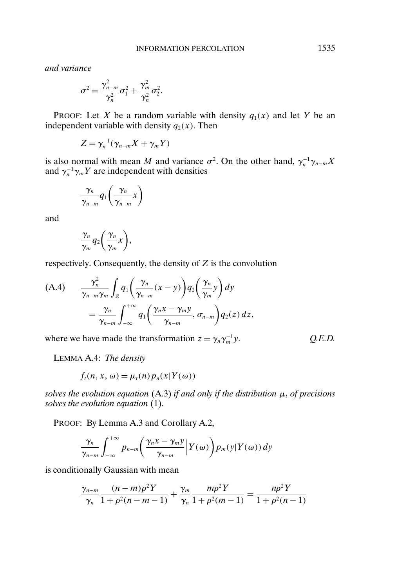*and variance*

$$
\sigma^2 = \frac{\gamma_{n-m}^2}{\gamma_n^2} \sigma_1^2 + \frac{\gamma_m^2}{\gamma_n^2} \sigma_2^2.
$$

PROOF: Let X be a random variable with density  $q_1(x)$  and let Y be an independent variable with density  $q_2(x)$ . Then

$$
Z=\gamma_n^{-1}(\gamma_{n-m}X+\gamma_mY)
$$

is also normal with mean M and variance  $\sigma^2$ . On the other hand,  $\gamma_n^{-1}\gamma_{n-m}X$ and  $\gamma_n^{-1} \gamma_m Y$  are independent with densities

$$
\frac{\gamma_n}{\gamma_{n-m}}q_1\bigg(\frac{\gamma_n}{\gamma_{n-m}}x\bigg)
$$

and

$$
\frac{\gamma_n}{\gamma_m}q_2\bigg(\frac{\gamma_n}{\gamma_m}x\bigg),\,
$$

respectively. Consequently, the density of  $Z$  is the convolution

(A.4) 
$$
\frac{\gamma_n^2}{\gamma_{n-m}\gamma_m} \int_{\mathbb{R}} q_1 \left( \frac{\gamma_n}{\gamma_{n-m}} (x - y) \right) q_2 \left( \frac{\gamma_n}{\gamma_m} y \right) dy
$$
  
= 
$$
\frac{\gamma_n}{\gamma_{n-m}} \int_{-\infty}^{+\infty} q_1 \left( \frac{\gamma_n x - \gamma_m y}{\gamma_{n-m}}, \sigma_{n-m} \right) q_2(z) dz,
$$

where we have made the transformation  $z = \gamma_n \gamma_m^{-1} y$ . <sup>m</sup> y. *Q.E.D.*

LEMMA A.4: *The density*

 $f_t(n, x, \omega) = \mu_t(n) p_n(x|Y(\omega))$ 

*solves the evolution equation* (A.3) *if and only if the distribution*  $\mu_t$  *of precisions solves the evolution equation* (1).

PROOF: By Lemma A.3 and Corollary A.2,

$$
\frac{\gamma_n}{\gamma_{n-m}}\int_{-\infty}^{+\infty}p_{n-m}\bigg(\frac{\gamma_nx-\gamma_my}{\gamma_{n-m}}\bigg|Y(\omega)\bigg)p_m(y|Y(\omega))\,dy
$$

is conditionally Gaussian with mean

$$
\frac{\gamma_{n-m}}{\gamma_n} \frac{(n-m)\rho^2 Y}{1+\rho^2(n-m-1)} + \frac{\gamma_m}{\gamma_n} \frac{m\rho^2 Y}{1+\rho^2(m-1)} = \frac{n\rho^2 Y}{1+\rho^2(n-1)}
$$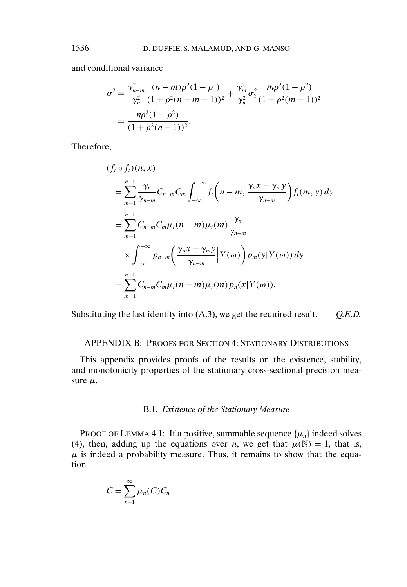and conditional variance

$$
\sigma^2 = \frac{\gamma_{n-m}^2}{\gamma_n^2} \frac{(n-m)\rho^2(1-\rho^2)}{(1+\rho^2(n-m-1))^2} + \frac{\gamma_m^2}{\gamma_n^2} \sigma_2^2 \frac{m\rho^2(1-\rho^2)}{(1+\rho^2(m-1))^2}
$$

$$
= \frac{n\rho^2(1-\rho^2)}{(1+\rho^2(n-1))^2}.
$$

Therefore,

$$
(f_t \circ f_t)(n, x)
$$
  
= 
$$
\sum_{m=1}^{n-1} \frac{\gamma_n}{\gamma_{n-m}} C_{n-m} C_m \int_{-\infty}^{+\infty} f_t \left(n-m, \frac{\gamma_n x - \gamma_m y}{\gamma_{n-m}}\right) f_t(m, y) dy
$$
  
= 
$$
\sum_{m=1}^{n-1} C_{n-m} C_m \mu_t (n-m) \mu_t(m) \frac{\gamma_n}{\gamma_{n-m}}
$$
  

$$
\times \int_{-\infty}^{+\infty} p_{n-m} \left(\frac{\gamma_n x - \gamma_m y}{\gamma_{n-m}} \Big| Y(\omega) \right) p_m(y|Y(\omega)) dy
$$
  
= 
$$
\sum_{m=1}^{n-1} C_{n-m} C_m \mu_t (n-m) \mu_t(m) p_n(x|Y(\omega)).
$$

Substituting the last identity into (A.3), we get the required result. *Q.E.D.*

# APPENDIX B: PROOFS FOR SECTION 4: STATIONARY DISTRIBUTIONS

This appendix provides proofs of the results on the existence, stability, and monotonicity properties of the stationary cross-sectional precision measure  $\mu$ .

# B.1. *Existence of the Stationary Measure*

PROOF OF LEMMA 4.1: If a positive, summable sequence  $\{\mu_n\}$  indeed solves (4), then, adding up the equations over *n*, we get that  $\mu(\mathbb{N}) = 1$ , that is,  $\mu$  is indeed a probability measure. Thus, it remains to show that the equation

$$
\bar{C} = \sum_{n=1}^{\infty} \bar{\mu}_n(\bar{C}) C_n
$$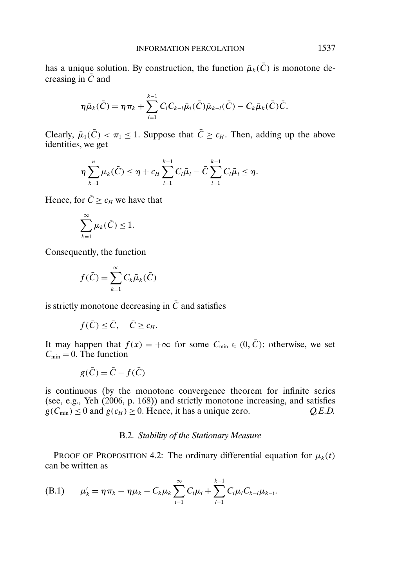has a unique solution. By construction, the function  $\bar{\mu}_k(\bar{C})$  is monotone decreasing in  $\overline{C}$  and

$$
\eta \bar{\mu}_k(\bar{C}) = \eta \pi_k + \sum_{l=1}^{k-1} C_l C_{k-l} \bar{\mu}_l(\bar{C}) \bar{\mu}_{k-l}(\bar{C}) - C_k \bar{\mu}_k(\bar{C}) \bar{C}.
$$

Clearly,  $\bar{\mu}_1(\bar{C}) < \pi_1 \leq 1$ . Suppose that  $\bar{C} \geq c_H$ . Then, adding up the above identities, we get

$$
\eta \sum_{k=1}^n \mu_k(\bar{C}) \leq \eta + c_H \sum_{l=1}^{k-1} C_l \bar{\mu}_l - \bar{C} \sum_{l=1}^{k-1} C_l \bar{\mu}_l \leq \eta.
$$

Hence, for  $\overline{C} \geq c_H$  we have that

$$
\sum_{k=1}^{\infty} \mu_k(\bar{C}) \le 1.
$$

Consequently, the function

$$
f(\bar{C}) = \sum_{k=1}^{\infty} C_k \bar{\mu}_k(\bar{C})
$$

is strictly monotone decreasing in  $\overline{C}$  and satisfies

$$
f(\bar{C}) \leq \bar{C}, \quad \bar{C} \geq c_H.
$$

It may happen that  $f(x) = +\infty$  for some  $C_{\min} \in (0, \bar{C})$ ; otherwise, we set  $C_{\text{min}} = 0$ . The function

$$
g(\bar{C}) = \bar{C} - f(\bar{C})
$$

is continuous (by the monotone convergence theorem for infinite series (see, e.g., Yeh (2006, p. 168)) and strictly monotone increasing, and satisfies  $g(C_{\min}) \le 0$  and  $g(c_H) \ge 0$ . Hence, it has a unique zero.  $Q.E.D.$ 

# B.2. *Stability of the Stationary Measure*

PROOF OF PROPOSITION 4.2: The ordinary differential equation for  $\mu_k(t)$ can be written as

k−1

(B.1) 
$$
\mu'_{k} = \eta \pi_{k} - \eta \mu_{k} - C_{k} \mu_{k} \sum_{i=1}^{\infty} C_{i} \mu_{i} + \sum_{l=1}^{k-1} C_{l} \mu_{l} C_{k-l} \mu_{k-l}.
$$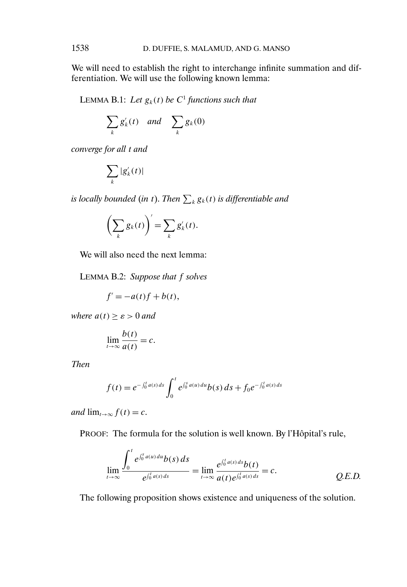We will need to establish the right to interchange infinite summation and differentiation. We will use the following known lemma:

LEMMA B.1: Let  $g_k(t)$  be  $C^1$  functions such that

$$
\sum_{k} g'_{k}(t) \quad \text{and} \quad \sum_{k} g_{k}(0)
$$

*converge for all* t *and*

$$
\sum_k |g'_k(t)|
$$

*is locally bounded (in t). Then*  $\sum_k g_k(t)$  *is differentiable and* 

$$
\left(\sum_{k} g_{k}(t)\right)' = \sum_{k} g'_{k}(t).
$$

We will also need the next lemma:

LEMMA B.2: *Suppose that* f *solves*

$$
f' = -a(t)f + b(t),
$$

*where*  $a(t) \ge \varepsilon > 0$  *and* 

$$
\lim_{t\to\infty}\frac{b(t)}{a(t)}=c.
$$

*Then*

$$
f(t) = e^{-\int_0^t a(s) ds} \int_0^t e^{\int_0^s a(u) du} b(s) ds + f_0 e^{-\int_0^t a(s) ds}
$$

*and*  $\lim_{t\to\infty} f(t) = c$ .

PROOF: The formula for the solution is well known. By l'Hôpital's rule,

$$
\lim_{t \to \infty} \frac{\int_0^t e^{\int_0^s a(u) du} b(s) ds}{e^{\int_0^t a(s) ds}} = \lim_{t \to \infty} \frac{e^{\int_0^t a(s) ds} b(t)}{a(t) e^{\int_0^t a(s) ds}} = c.
$$
 Q.E.D.

The following proposition shows existence and uniqueness of the solution.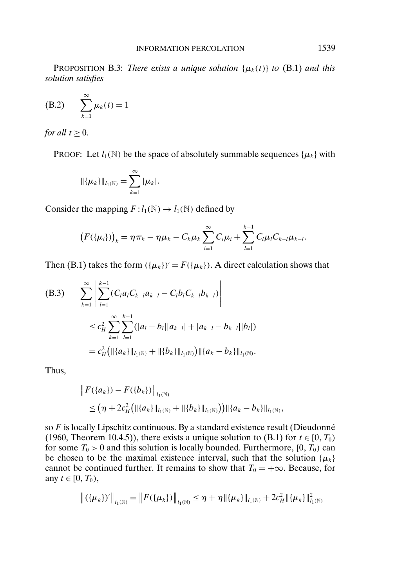**PROPOSITION B.3:** *There exists a unique solution*  $\{\mu_k(t)\}\$  *to* (B.1) *and this solution satisfies*

(B.2) 
$$
\sum_{k=1}^{\infty} \mu_k(t) = 1
$$

*for all*  $t \geq 0$ .

PROOF: Let  $l_1(\mathbb{N})$  be the space of absolutely summable sequences  $\{\mu_k\}$  with

$$
\|\{\mu_k\}\|_{l_1(\mathbb{N})}=\sum_{k=1}^{\infty}|\mu_k|.
$$

Consider the mapping  $F: l_1(\mathbb{N}) \to l_1(\mathbb{N})$  defined by

$$
(F({\{\mu_i\}}))_k = \eta \pi_k - \eta \mu_k - C_k \mu_k \sum_{i=1}^{\infty} C_i \mu_i + \sum_{l=1}^{k-1} C_l \mu_l C_{k-l} \mu_{k-l}.
$$

Then (B.1) takes the form  $({\mu_k})' = F({\mu_k})$ . A direct calculation shows that

(B.3) 
$$
\sum_{k=1}^{\infty} \left| \sum_{l=1}^{k-1} (C_l a_l C_{k-l} a_{k-l} - C_l b_l C_{k-l} b_{k-l}) \right|
$$
  
\n
$$
\leq c_H^2 \sum_{k=1}^{\infty} \sum_{l=1}^{k-1} (|a_l - b_l| |a_{k-l}| + |a_{k-l} - b_{k-l}| |b_l|)
$$
  
\n
$$
= c_H^2 \left( ||\{a_k\}\|_{l_1(\mathbb{N})} + ||\{b_k\}\|_{l_1(\mathbb{N})} \right) ||\{a_k - b_k\}\|_{l_1(\mathbb{N})}.
$$

Thus,

$$
\begin{aligned} &\left\|F(\{a_k\})-F(\{b_k\})\right\|_{l_1(\mathbb{N})} \\ &\leq \left(\eta+2c_H^2\left(\|\{a_k\}\|_{l_1(\mathbb{N})}+\|\{b_k\}\|_{l_1(\mathbb{N})}\right)\right)\|\{a_k-b_k\}\|_{l_1(\mathbb{N})}, \end{aligned}
$$

so  $F$  is locally Lipschitz continuous. By a standard existence result (Dieudonné (1960, Theorem 10.4.5)), there exists a unique solution to (B.1) for  $t \in [0, T_0)$ for some  $T_0 > 0$  and this solution is locally bounded. Furthermore, [0,  $T_0$ ) can be chosen to be the maximal existence interval, such that the solution  $\{\mu_k\}$ cannot be continued further. It remains to show that  $T_0 = +\infty$ . Because, for any  $t \in [0, T_0)$ ,

$$
\left\|(\{\mu_k\})'\right\|_{l_1(\mathbb{N})}=\left\|F(\{\mu_k\})\right\|_{l_1(\mathbb{N})}\leq \eta+\eta \|\{\mu_k\}\|_{l_1(\mathbb{N})}+2c_H^2\|\{\mu_k\}\|_{l_1(\mathbb{N})}^2
$$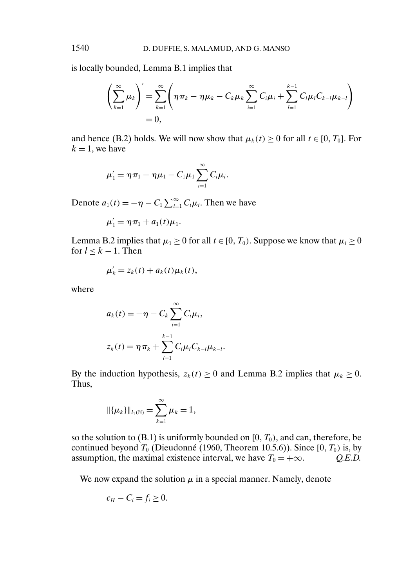is locally bounded, Lemma B.1 implies that

$$
\left(\sum_{k=1}^{\infty}\mu_k\right)^{'}=\sum_{k=1}^{\infty}\left(\eta\pi_k-\eta\mu_k-C_k\mu_k\sum_{i=1}^{\infty}C_i\mu_i+\sum_{l=1}^{k-1}C_l\mu_lC_{k-l}\mu_{k-l}\right)\\=0,
$$

and hence (B.2) holds. We will now show that  $\mu_k(t) \ge 0$  for all  $t \in [0, T_0]$ . For  $k = 1$ , we have

$$
\mu'_1 = \eta \pi_1 - \eta \mu_1 - C_1 \mu_1 \sum_{i=1}^{\infty} C_i \mu_i.
$$

Denote  $a_1(t) = -\eta - C_1 \sum_{i=1}^{\infty} C_i \mu_i$ . Then we have

$$
\mu_1' = \eta \pi_1 + a_1(t) \mu_1.
$$

Lemma B.2 implies that  $\mu_1 \geq 0$  for all  $t \in [0, T_0)$ . Suppose we know that  $\mu_l \geq 0$ for  $l \leq k - 1$ . Then

$$
\mu'_{k} = z_{k}(t) + a_{k}(t)\mu_{k}(t),
$$

where

$$
a_k(t) = -\eta - C_k \sum_{i=1}^{\infty} C_i \mu_i,
$$
  

$$
z_k(t) = \eta \pi_k + \sum_{l=1}^{k-1} C_l \mu_l C_{k-l} \mu_{k-l}.
$$

By the induction hypothesis,  $z_k(t) \ge 0$  and Lemma B.2 implies that  $\mu_k \ge 0$ . Thus,

$$
\|\{\mu_k\}\|_{l_1(\mathbb{N})}=\sum_{k=1}^{\infty}\mu_k=1,
$$

so the solution to (B.1) is uniformly bounded on  $[0, T_0)$ , and can, therefore, be continued beyond  $T_0$  (Dieudonné (1960, Theorem 10.5.6)). Since [0,  $T_0$ ) is, by assumption, the maximal existence interval, we have  $T_0 = +\infty$ . *Q.E.D.* 

We now expand the solution  $\mu$  in a special manner. Namely, denote

$$
c_H-C_i=f_i\geq 0.
$$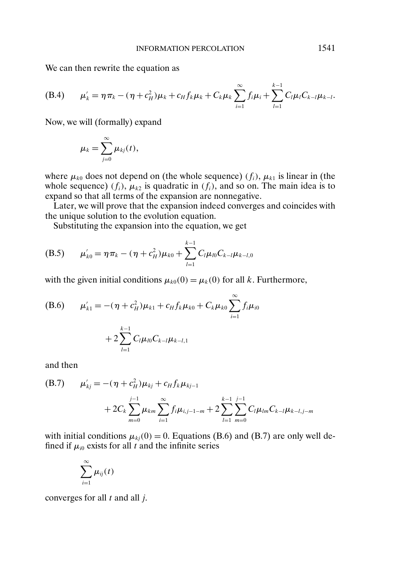We can then rewrite the equation as

(B.4) 
$$
\mu'_{k} = \eta \pi_{k} - (\eta + c_{H}^{2})\mu_{k} + c_{H}f_{k}\mu_{k} + C_{k}\mu_{k} \sum_{i=1}^{\infty} f_{i}\mu_{i} + \sum_{l=1}^{k-1} C_{l}\mu_{l}C_{k-l}\mu_{k-l}.
$$

Now, we will (formally) expand

$$
\mu_k = \sum_{j=0}^{\infty} \mu_{kj}(t),
$$

where  $\mu_{k0}$  does not depend on (the whole sequence)  $(f_i)$ ,  $\mu_{k1}$  is linear in (the whole sequence)  $(f_i)$ ,  $\mu_{k2}$  is quadratic in  $(f_i)$ , and so on. The main idea is to expand so that all terms of the expansion are nonnegative.

Later, we will prove that the expansion indeed converges and coincides with the unique solution to the evolution equation.

Substituting the expansion into the equation, we get

(B.5) 
$$
\mu'_{k0} = \eta \pi_k - (\eta + c_H^2) \mu_{k0} + \sum_{l=1}^{k-1} C_l \mu_{l0} C_{k-l} \mu_{k-l,0}
$$

with the given initial conditions  $\mu_{k0}(0) = \mu_k(0)$  for all k. Furthermore,

(B.6) 
$$
\mu'_{k1} = -(\eta + c_H^2)\mu_{k1} + c_H f_k \mu_{k0} + C_k \mu_{k0} \sum_{i=1}^{\infty} f_i \mu_{i0} + 2 \sum_{l=1}^{k-1} C_l \mu_{l0} C_{k-l} \mu_{k-l,1}
$$

and then

(B.7) 
$$
\mu'_{kj} = -(\eta + c_H^2)\mu_{kj} + c_H f_k \mu_{kj-1} + 2C_k \sum_{m=0}^{j-1} \mu_{km} \sum_{i=1}^{\infty} f_i \mu_{i,j-1-m} + 2 \sum_{l=1}^{k-1} \sum_{m=0}^{j-1} C_l \mu_{lm} C_{k-l} \mu_{k-l,j-m}
$$

with initial conditions  $\mu_{ki}(0) = 0$ . Equations (B.6) and (B.7) are only well defined if  $\mu_{i0}$  exists for all t and the infinite series

$$
\sum_{i=1}^{\infty} \mu_{ij}(t)
$$

converges for all  $t$  and all  $j$ .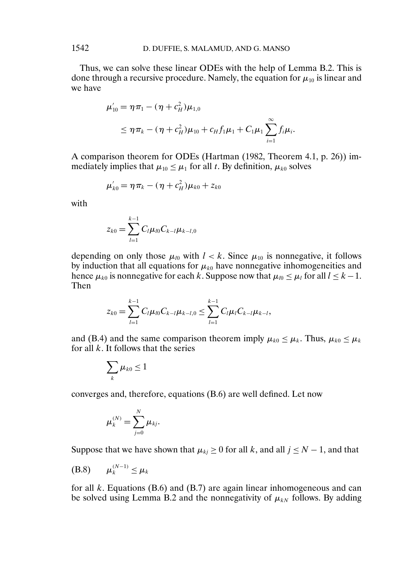Thus, we can solve these linear ODEs with the help of Lemma B.2. This is done through a recursive procedure. Namely, the equation for  $\mu_{10}$  is linear and we have

$$
\mu'_{10} = \eta \pi_1 - (\eta + c_H^2) \mu_{1,0}
$$
  
\n
$$
\leq \eta \pi_k - (\eta + c_H^2) \mu_{10} + c_H f_1 \mu_1 + C_1 \mu_1 \sum_{i=1}^{\infty} f_i \mu_i.
$$

A comparison theorem for ODEs (Hartman (1982, Theorem 4.1, p. 26)) immediately implies that  $\mu_{10} \leq \mu_1$  for all t. By definition,  $\mu_{k0}$  solves

$$
\mu'_{k0} = \eta \pi_k - (\eta + c_H^2) \mu_{k0} + z_{k0}
$$

with

$$
z_{k0} = \sum_{l=1}^{k-1} C_l \mu_{l0} C_{k-l} \mu_{k-l,0}
$$

depending on only those  $\mu_{l0}$  with  $l < k$ . Since  $\mu_{10}$  is nonnegative, it follows by induction that all equations for  $\mu_{k0}$  have nonnegative inhomogeneities and hence  $\mu_{k0}$  is nonnegative for each k. Suppose now that  $\mu_{l0} \leq \mu_l$  for all  $l \leq k-1$ . Then

$$
z_{k0} = \sum_{l=1}^{k-1} C_l \mu_{l0} C_{k-l} \mu_{k-l,0} \leq \sum_{l=1}^{k-1} C_l \mu_l C_{k-l} \mu_{k-l},
$$

and (B.4) and the same comparison theorem imply  $\mu_{k0} \le \mu_k$ . Thus,  $\mu_{k0} \le \mu_k$ for all  $k$ . It follows that the series

$$
\sum_k \mu_{k0} \leq 1
$$

converges and, therefore, equations (B.6) are well defined. Let now

$$
\boldsymbol{\mu}_k^{(N)} = \sum_{j=0}^N \boldsymbol{\mu}_{kj}.
$$

Suppose that we have shown that  $\mu_{ki} \ge 0$  for all k, and all  $j \le N - 1$ , and that

$$
(B.8) \qquad \mu_k^{(N-1)} \leq \mu_k
$$

for all  $k$ . Equations (B.6) and (B.7) are again linear inhomogeneous and can be solved using Lemma B.2 and the nonnegativity of  $\mu_{kN}$  follows. By adding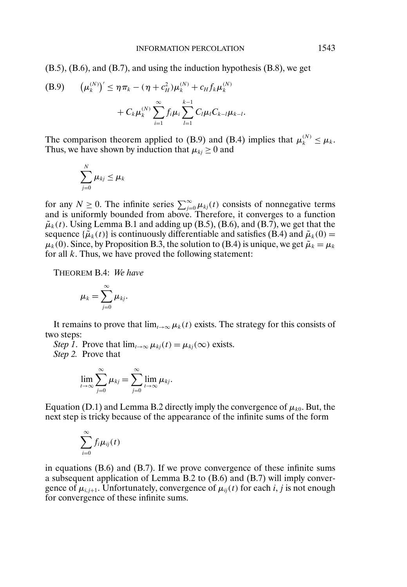(B.5), (B.6), and (B.7), and using the induction hypothesis (B.8), we get

(B.9) 
$$
(\mu_k^{(N)})' \leq \eta \pi_k - (\eta + c_H^2) \mu_k^{(N)} + c_H f_k \mu_k^{(N)}
$$

$$
+ C_k \mu_k^{(N)} \sum_{i=1}^{\infty} f_i \mu_i \sum_{l=1}^{k-1} C_l \mu_l C_{k-l} \mu_{k-l}.
$$

The comparison theorem applied to (B.9) and (B.4) implies that  $\mu_k^{(N)} \leq \mu_k$ . Thus, we have shown by induction that  $\mu_{ki} \geq 0$  and

$$
\sum_{j=0}^N \mu_{kj} \leq \mu_k
$$

for any  $N \ge 0$ . The infinite series  $\sum_{j=0}^{\infty} \mu_{kj}(t)$  consists of nonnegative terms and is uniformly bounded from above. Therefore, it converges to a function  $\tilde{\mu}_{k}(t)$ . Using Lemma B.1 and adding up (B.5), (B.6), and (B.7), we get that the sequence { $\tilde{\mu}_k(t)$ } is continuously differentiable and satisfies (B.4) and  $\tilde{\mu}_k(0) =$  $\mu_k(0)$ . Since, by Proposition B.3, the solution to (B.4) is unique, we get  $\tilde{\mu}_k = \mu_k$ for all  $k$ . Thus, we have proved the following statement:

THEOREM B.4: *We have*

$$
\mu_k=\sum_{j=0}^\infty \mu_{kj}.
$$

It remains to prove that  $\lim_{t\to\infty} \mu_k(t)$  exists. The strategy for this consists of two steps:

*Step 1*. Prove that  $\lim_{t\to\infty} \mu_{kj}(t) = \mu_{kj}(\infty)$  exists.

*Step 2.* Prove that

$$
\lim_{t\to\infty}\sum_{j=0}^{\infty}\mu_{kj}=\sum_{j=0}^{\infty}\lim_{t\to\infty}\mu_{kj}.
$$

Equation (D.1) and Lemma B.2 directly imply the convergence of  $\mu_{k0}$ . But, the next step is tricky because of the appearance of the infinite sums of the form

$$
\sum_{i=0}^{\infty} f_i \mu_{ij}(t)
$$

in equations (B.6) and (B.7). If we prove convergence of these infinite sums a subsequent application of Lemma B.2 to (B.6) and (B.7) will imply convergence of  $\mu_{i,i+1}$ . Unfortunately, convergence of  $\mu_{ii}(t)$  for each i, j is not enough for convergence of these infinite sums.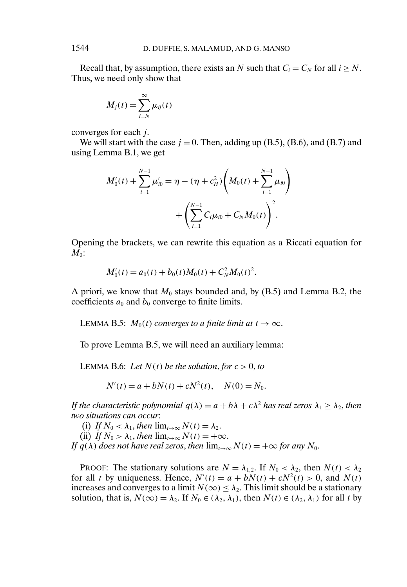Recall that, by assumption, there exists an N such that  $C_i = C_N$  for all  $i \geq N$ . Thus, we need only show that

$$
M_j(t) = \sum_{i=N}^{\infty} \mu_{ij}(t)
$$

converges for each j.

We will start with the case  $j = 0$ . Then, adding up (B.5), (B.6), and (B.7) and using Lemma B.1, we get

$$
M'_{0}(t) + \sum_{i=1}^{N-1} \mu'_{i0} = \eta - (\eta + c_{H}^{2}) \left( M_{0}(t) + \sum_{i=1}^{N-1} \mu_{i0} \right) + \left( \sum_{i=1}^{N-1} C_{i} \mu_{i0} + C_{N} M_{0}(t) \right)^{2}.
$$

Opening the brackets, we can rewrite this equation as a Riccati equation for  $M_0$ :

$$
M'_0(t) = a_0(t) + b_0(t)M_0(t) + C_N^2M_0(t)^2.
$$

A priori, we know that  $M_0$  stays bounded and, by (B.5) and Lemma B.2, the coefficients  $a_0$  and  $b_0$  converge to finite limits.

LEMMA B.5:  $M_0(t)$  *converges to a finite limit at*  $t \to \infty$ .

To prove Lemma B.5, we will need an auxiliary lemma:

LEMMA B.6: Let  $N(t)$  be the solution, for  $c > 0$ , to

$$
N'(t) = a + bN(t) + cN^2(t), \quad N(0) = N_0.
$$

*If the characteristic polynomial*  $q(\lambda) = a + b\lambda + c\lambda^2$  *has real zeros*  $\lambda_1 \geq \lambda_2$ *, then two situations can occur*:

(i) *If*  $N_0 < \lambda_1$ , *then*  $\lim_{t\to\infty} N(t) = \lambda_2$ .

(ii) *If*  $N_0 > \lambda_1$ , *then*  $\lim_{t\to\infty} N(t) = +\infty$ .

*If*  $q(\lambda)$  *does not have real zeros, then*  $\lim_{t\to\infty} N(t) = +\infty$  *for any*  $N_0$ *.* 

PROOF: The stationary solutions are  $N = \lambda_{1,2}$ . If  $N_0 < \lambda_2$ , then  $N(t) < \lambda_2$ for all t by uniqueness. Hence,  $N'(t) = a + bN(t) + cN^2(t) > 0$ , and  $N(t)$ increases and converges to a limit  $N(\infty) \leq \lambda_2$ . This limit should be a stationary solution, that is,  $N(\infty) = \lambda_2$ . If  $N_0 \in (\lambda_2, \lambda_1)$ , then  $N(t) \in (\lambda_2, \lambda_1)$  for all t by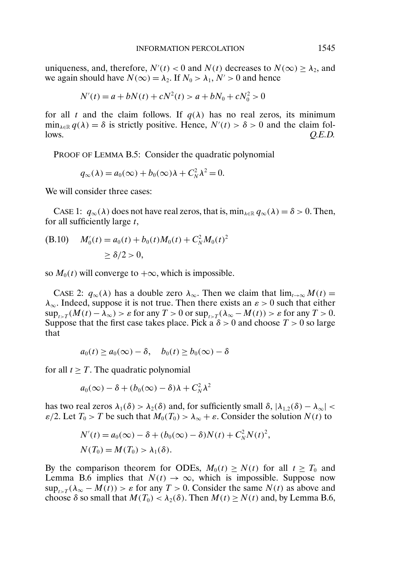uniqueness, and, therefore,  $N'(t) < 0$  and  $N(t)$  decreases to  $N(\infty) \ge \lambda_2$ , and we again should have  $N(\infty) = \lambda_2$ . If  $N_0 > \lambda_1$ ,  $N' > 0$  and hence

$$
N'(t) = a + bN(t) + cN^2(t) > a + bN_0 + cN_0^2 > 0
$$

for all t and the claim follows. If  $q(\lambda)$  has no real zeros, its minimum  $\min_{\lambda \in \mathbb{R}} q(\lambda) = \delta$  is strictly positive. Hence,  $N'(t) > \delta > 0$  and the claim follows. *Q.E.D.*

PROOF OF LEMMA B.5: Consider the quadratic polynomial

$$
q_{\infty}(\lambda) = a_0(\infty) + b_0(\infty)\lambda + C_N^2\lambda^2 = 0.
$$

We will consider three cases:

CASE 1:  $q_{\infty}(\lambda)$  does not have real zeros, that is,  $\min_{\lambda \in \mathbb{R}} q_{\infty}(\lambda) = \delta > 0$ . Then, for all sufficiently large  $t$ ,

(B.10) 
$$
M'_0(t) = a_0(t) + b_0(t)M_0(t) + C_N^2M_0(t)^2
$$

$$
\geq \delta/2 > 0,
$$

so  $M_0(t)$  will converge to  $+\infty$ , which is impossible.

CASE 2:  $q_{\infty}(\lambda)$  has a double zero  $\lambda_{\infty}$ . Then we claim that  $\lim_{t\to\infty} M(t) =$  $\lambda_{\infty}$ . Indeed, suppose it is not true. Then there exists an  $\varepsilon > 0$  such that either  $\sup_{t>T} (M(t) - \lambda_{\infty}) > \varepsilon$  for any  $T > 0$  or  $\sup_{t>T} (\lambda_{\infty} - M(t)) > \varepsilon$  for any  $T > 0$ . Suppose that the first case takes place. Pick a  $\delta > 0$  and choose  $T > 0$  so large that

$$
a_0(t) \ge a_0(\infty) - \delta
$$
,  $b_0(t) \ge b_0(\infty) - \delta$ 

for all  $t \geq T$ . The quadratic polynomial

$$
a_0(\infty) - \delta + (b_0(\infty) - \delta)\lambda + C_N^2\lambda^2
$$

has two real zeros  $\lambda_1(\delta) > \lambda_2(\delta)$  and, for sufficiently small  $\delta$ ,  $|\lambda_{1,2}(\delta) - \lambda_{\infty}|$  $\varepsilon/2$ . Let  $T_0 > T$  be such that  $M_0(T_0) > \lambda_\infty + \varepsilon$ . Consider the solution  $N(t)$  to

$$
N'(t) = a_0(\infty) - \delta + (b_0(\infty) - \delta)N(t) + C_N^2 N(t)^2,
$$
  
 
$$
N(T_0) = M(T_0) > \lambda_1(\delta).
$$

By the comparison theorem for ODEs,  $M_0(t) \ge N(t)$  for all  $t \ge T_0$  and Lemma B.6 implies that  $N(t) \rightarrow \infty$ , which is impossible. Suppose now  $\sup_{t>T} (\lambda_\infty - M(t)) > \varepsilon$  for any  $T > 0$ . Consider the same  $N(t)$  as above and choose  $\delta$  so small that  $M(T_0) < \lambda_2(\delta)$ . Then  $M(t) \ge N(t)$  and, by Lemma B.6,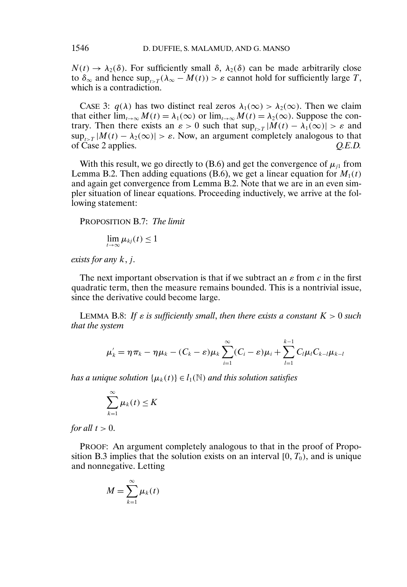$N(t) \rightarrow \lambda_2(\delta)$ . For sufficiently small  $\delta$ ,  $\lambda_2(\delta)$  can be made arbitrarily close to  $\delta_{\infty}$  and hence  $\sup_{t \in \mathcal{T}} (\lambda_{\infty} - M(t)) > \varepsilon$  cannot hold for sufficiently large T, which is a contradiction.

CASE 3:  $q(\lambda)$  has two distinct real zeros  $\lambda_1(\infty) > \lambda_2(\infty)$ . Then we claim that either  $\lim_{t\to\infty} M(t) = \lambda_1(\infty)$  or  $\lim_{t\to\infty} M(t) = \lambda_2(\infty)$ . Suppose the contrary. Then there exists an  $\varepsilon > 0$  such that  $\sup_{t \ge T} |M(t) - \lambda_1(\infty)| > \varepsilon$  and  $\sup_{t>T} |M(t) - \lambda_2(\infty)| > \varepsilon$ . Now, an argument completely analogous to that of Case 2 applies. *O.E.D.* of Case 2 applies.

With this result, we go directly to (B.6) and get the convergence of  $\mu_{i1}$  from Lemma B.2. Then adding equations (B.6), we get a linear equation for  $M_1(t)$ and again get convergence from Lemma B.2. Note that we are in an even simpler situation of linear equations. Proceeding inductively, we arrive at the following statement:

PROPOSITION B.7: *The limit*

$$
\lim_{t\to\infty}\mu_{kj}(t)\leq 1
$$

*exists for any* k j.

The next important observation is that if we subtract an  $\varepsilon$  from c in the first quadratic term, then the measure remains bounded. This is a nontrivial issue, since the derivative could become large.

LEMMA B.8: *If* ε *is sufficiently small*, *then there exists a constant* K > 0 *such that the system*

$$
\mu'_{k} = \eta \pi_{k} - \eta \mu_{k} - (C_{k} - \varepsilon) \mu_{k} \sum_{i=1}^{\infty} (C_{i} - \varepsilon) \mu_{i} + \sum_{l=1}^{k-1} C_{l} \mu_{l} C_{k-l} \mu_{k-l}
$$

*has a unique solution*  $\{\mu_k(t)\}\in l_1(\mathbb{N})$  *and this solution satisfies* 

$$
\sum_{k=1}^{\infty} \mu_k(t) \leq K
$$

*for all*  $t > 0$ .

PROOF: An argument completely analogous to that in the proof of Proposition B.3 implies that the solution exists on an interval  $[0, T_0)$ , and is unique and nonnegative. Letting

$$
M=\sum_{k=1}^{\infty}\mu_k(t)
$$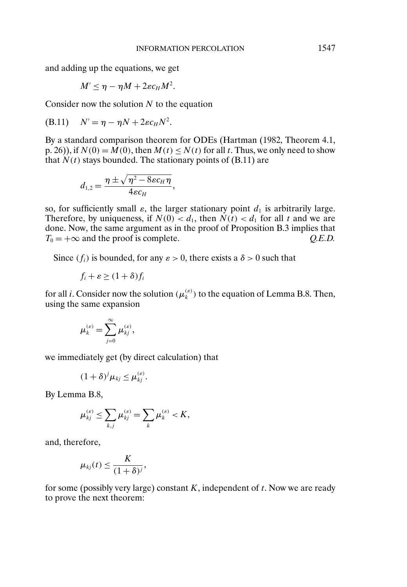and adding up the equations, we get

$$
M' \leq \eta - \eta M + 2\varepsilon c_H M^2.
$$

Consider now the solution  $N$  to the equation

(B.11) 
$$
N' = \eta - \eta N + 2\varepsilon c_H N^2.
$$

By a standard comparison theorem for ODEs (Hartman (1982, Theorem 4.1, p. 26)), if  $N(0) = M(0)$ , then  $M(t) \le N(t)$  for all t. Thus, we only need to show that  $N(t)$  stays bounded. The stationary points of (B.11) are

$$
d_{1,2} = \frac{\eta \pm \sqrt{\eta^2 - 8\epsilon c_H \eta}}{4\epsilon c_H},
$$

so, for sufficiently small  $\varepsilon$ , the larger stationary point  $d_1$  is arbitrarily large. Therefore, by uniqueness, if  $N(0) < d_1$ , then  $N(t) < d_1$  for all t and we are done. Now, the same argument as in the proof of Proposition B.3 implies that  $T_0 = +\infty$  and the proof is complete.  $Q.E.D.$ 

Since  $(f_i)$  is bounded, for any  $\varepsilon > 0$ , there exists a  $\delta > 0$  such that

$$
f_i + \varepsilon \ge (1 + \delta) f_i
$$

for all *i*. Consider now the solution  $(\mu_k^{(s)})$  to the equation of Lemma B.8. Then, using the same expansion

$$
\mu_k^{(s)} = \sum_{j=0}^{\infty} \mu_{kj}^{(s)},
$$

we immediately get (by direct calculation) that

$$
(1+\delta)^j\mu_{kj}\leq \mu_{kj}^{(\varepsilon)}.
$$

By Lemma B.8,

$$
\mu_{kj}^{(e)} \leq \sum_{k,j} \mu_{kj}^{(e)} = \sum_k \mu_k^{(e)} < K,
$$

and, therefore,

$$
\mu_{kj}(t) \leq \frac{K}{(1+\delta)^j},
$$

for some (possibly very large) constant  $K$ , independent of  $t$ . Now we are ready to prove the next theorem: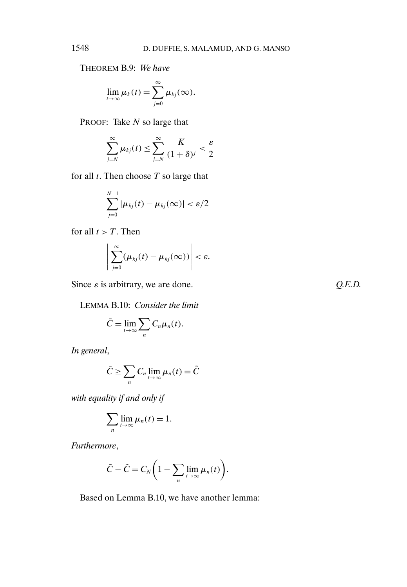THEOREM B.9: *We have*

$$
\lim_{t\to\infty}\mu_k(t)=\sum_{j=0}^\infty\mu_{kj}(\infty).
$$

PROOF: Take  $N$  so large that

$$
\sum_{j=N}^{\infty} \mu_{kj}(t) \le \sum_{j=N}^{\infty} \frac{K}{(1+\delta)^j} < \frac{\varepsilon}{2}
$$

for all  $t$ . Then choose  $T$  so large that

$$
\sum_{j=0}^{N-1} |\mu_{kj}(t) - \mu_{kj}(\infty)| < \varepsilon/2
$$

for all  $t > T$ . Then

$$
\left|\sum_{j=0}^{\infty}(\mu_{kj}(t)-\mu_{kj}(\infty))\right|<\varepsilon.
$$

Since  $\varepsilon$  is arbitrary, we are done.  $Q.E.D.$ 

LEMMA B.10: *Consider the limit*

$$
\bar{C}=\lim_{t\to\infty}\sum_n C_n\mu_n(t).
$$

*In general*,

$$
\bar{C} \geq \sum_{n} C_n \lim_{t \to \infty} \mu_n(t) = \tilde{C}
$$

*with equality if and only if*

$$
\sum_{n}\lim_{t\to\infty}\mu_n(t)=1.
$$

*Furthermore*,

$$
\bar{C}-\tilde{C}=C_N\bigg(1-\sum_n\lim_{t\to\infty}\mu_n(t)\bigg).
$$

Based on Lemma B.10, we have another lemma: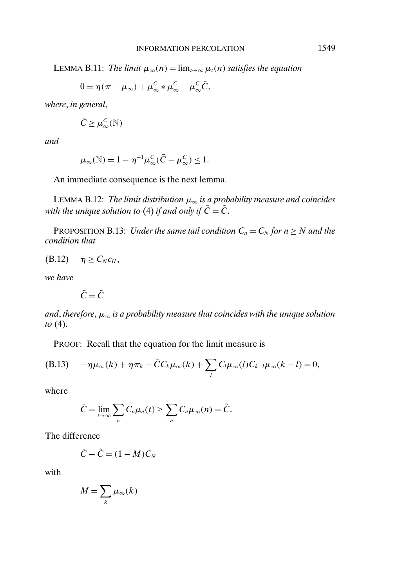LEMMA B.11: *The limit*  $\mu_{\infty}(n) = \lim_{t \to \infty} \mu_t(n)$  *satisfies the equation* 

$$
0 = \eta(\pi - \mu_{\infty}) + \mu_{\infty}^C * \mu_{\infty}^C - \mu_{\infty}^C \bar{C},
$$

*where*, *in general*,

$$
\bar{C} \geq \mu_{\infty}^{C}(\mathbb{N})
$$

*and*

$$
\mu_\infty(\mathbb{N}) = 1 - \eta^{-1} \mu_\infty^C (\bar{C} - \mu_\infty^C) \le 1.
$$

An immediate consequence is the next lemma.

LEMMA B.12: *The limit distribution*  $\mu_{\infty}$  *is a probability measure and coincides with the unique solution to* (4) *if and only if*  $\bar{C} = \tilde{C}$ .

PROPOSITION B.13: *Under the same tail condition*  $C_n = C_N$  *for*  $n \geq N$  *and the condition that*

$$
(B.12) \quad \eta \geq C_N c_H,
$$

*we have*

$$
\bar{C}=\tilde{C}
$$

*and, therefore,*  $\mu_{\infty}$  *is a probability measure that coincides with the unique solution to* (4).

PROOF: Recall that the equation for the limit measure is

(B.13) 
$$
-\eta \mu_{\infty}(k) + \eta \pi_k - \bar{C}C_k \mu_{\infty}(k) + \sum_l C_l \mu_{\infty}(l) C_{k-l} \mu_{\infty}(k-l) = 0,
$$

where

$$
\bar{C} = \lim_{t \to \infty} \sum_{n} C_n \mu_n(t) \ge \sum_{n} C_n \mu_{\infty}(n) = \tilde{C}.
$$

The difference

$$
\bar{C} - \tilde{C} = (1 - M)C_N
$$

with

$$
M = \sum_{k} \mu_{\infty}(k)
$$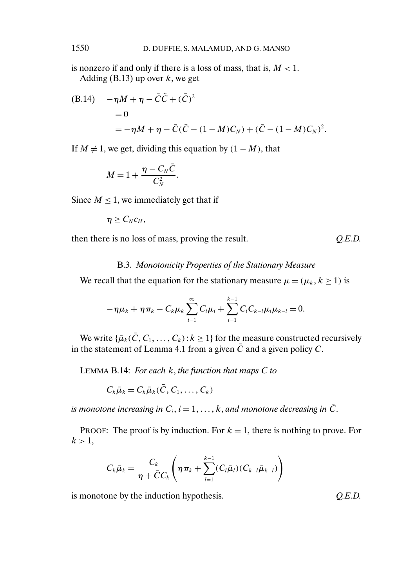is nonzero if and only if there is a loss of mass, that is,  $M < 1$ . Adding (B.13) up over  $k$ , we get

(B.14) 
$$
-\eta M + \eta - \bar{C}\tilde{C} + (\tilde{C})^2
$$
  
= 0  
= -\eta M + \eta - \bar{C}(\bar{C} - (1 - M)C\_N) + (\bar{C} - (1 - M)C\_N)^2.

If  $M \neq 1$ , we get, dividing this equation by  $(1 - M)$ , that

$$
M=1+\frac{\eta-C_N\bar{C}}{C_N^2}.
$$

Since  $M \leq 1$ , we immediately get that if

$$
\eta \geq C_N c_H,
$$

then there is no loss of mass, proving the result. *Q.E.D.*

## B.3. *Monotonicity Properties of the Stationary Measure*

We recall that the equation for the stationary measure  $\mu = (\mu_k, k \ge 1)$  is

$$
-\eta\mu_k + \eta\pi_k - C_k\mu_k\sum_{i=1}^{\infty}C_i\mu_i + \sum_{l=1}^{k-1}C_lC_{k-l}\mu_l\mu_{k-l} = 0.
$$

We write  $\{\bar{\mu}_k(\bar{C}, C_1, \ldots, C_k) : k \geq 1\}$  for the measure constructed recursively in the statement of Lemma 4.1 from a given  $\overline{C}$  and a given policy  $C$ .

LEMMA B.14: *For each* k, *the function that maps* C *to*

$$
C_k\bar{\mu}_k = C_k\bar{\mu}_k(\bar{C},C_1,\ldots,C_k)
$$

is monotone increasing in  $C_i$ ,  $i = 1, \ldots, k$ , and monotone decreasing in  $\overline{C}$ .

PROOF: The proof is by induction. For  $k = 1$ , there is nothing to prove. For  $k > 1$ ,

$$
C_{k}\bar{\mu}_{k} = \frac{C_{k}}{\eta + \bar{C}C_{k}} \left(\eta \pi_{k} + \sum_{l=1}^{k-1} (C_{l}\bar{\mu}_{l})(C_{k-l}\bar{\mu}_{k-l})\right)
$$

is monotone by the induction hypothesis. *Q.E.D.*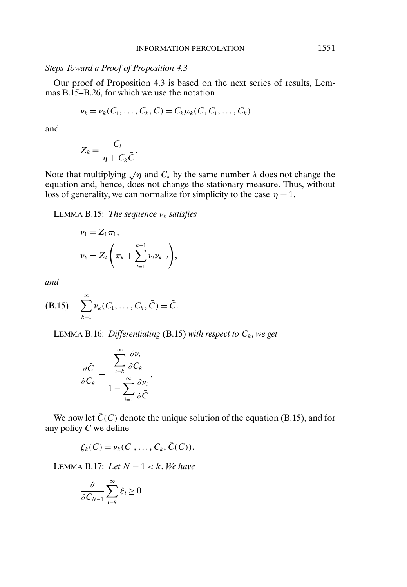## *Steps Toward a Proof of Proposition 4.3*

Our proof of Proposition 4.3 is based on the next series of results, Lemmas B.15–B.26, for which we use the notation

$$
\nu_k = \nu_k(C_1, \ldots, C_k, \bar{C}) = C_k \bar{\mu}_k(\bar{C}, C_1, \ldots, C_k)
$$

and

$$
Z_k = \frac{C_k}{\eta + C_k \bar{C}}.
$$

Note that multiplying  $\sqrt{\eta}$  and  $C_k$  by the same number  $\lambda$  does not change the equation and, hence, does not change the stationary measure. Thus, without loss of generality, we can normalize for simplicity to the case  $\eta = 1$ .

LEMMA B.15: *The sequence*  $\nu_k$  *satisfies* 

$$
\nu_1 = Z_1 \pi_1,
$$
  

$$
\nu_k = Z_k \left( \pi_k + \sum_{l=1}^{k-1} \nu_l \nu_{k-l} \right),
$$

*and*

(B.15) 
$$
\sum_{k=1}^{\infty} \nu_k(C_1, \ldots, C_k, \bar{C}) = \bar{C}.
$$

LEMMA B.16: *Differentiating* (B.15) with respect to  $C_k$ , we get

$$
\frac{\partial \bar{C}}{\partial C_k} = \frac{\sum_{i=k}^{\infty} \frac{\partial v_i}{\partial C_k}}{1 - \sum_{i=1}^{\infty} \frac{\partial v_i}{\partial \bar{C}}}.
$$

We now let  $\overline{C}(C)$  denote the unique solution of the equation (B.15), and for any policy C we define

$$
\xi_k(C) = \nu_k(C_1,\ldots,C_k,\overline{C}(C)).
$$

LEMMA B.17: *Let* N − 1 < k. *We have*

$$
\frac{\partial}{\partial C_{N-1}}\sum_{i=k}^{\infty}\xi_i\geq 0
$$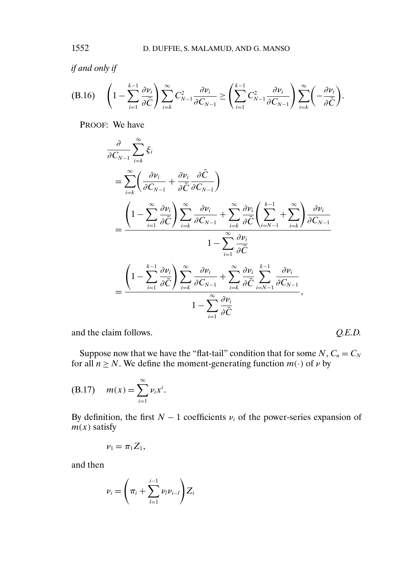*if and only if*

(B.16) 
$$
\left(1 - \sum_{i=1}^{k-1} \frac{\partial v_i}{\partial \bar{C}}\right) \sum_{i=k}^{\infty} C_{N-1}^2 \frac{\partial v_i}{\partial C_{N-1}} \ge \left(\sum_{i=1}^{k-1} C_{N-1}^2 \frac{\partial v_i}{\partial C_{N-1}}\right) \sum_{i=k}^{\infty} \left(-\frac{\partial v_i}{\partial \bar{C}}\right).
$$

PROOF: We have

$$
\frac{\partial}{\partial C_{N-1}} \sum_{i=k}^{\infty} \xi_i
$$
\n
$$
= \sum_{i=k}^{\infty} \left( \frac{\partial v_i}{\partial C_{N-1}} + \frac{\partial v_i}{\partial \bar{C}} \frac{\partial \bar{C}}{\partial C_{N-1}} \right)
$$
\n
$$
= \frac{\left( 1 - \sum_{i=1}^{\infty} \frac{\partial v_i}{\partial \bar{C}} \right) \sum_{i=k}^{\infty} \frac{\partial v_i}{\partial C_{N-1}} + \sum_{i=k}^{\infty} \frac{\partial v_i}{\partial \bar{C}} \left( \sum_{i=N-1}^{k-1} + \sum_{i=k}^{\infty} \right) \frac{\partial v_i}{\partial C_{N-1}}
$$
\n
$$
1 - \sum_{i=1}^{\infty} \frac{\partial v_i}{\partial \bar{C}}
$$
\n
$$
= \frac{\left( 1 - \sum_{i=1}^{k-1} \frac{\partial v_i}{\partial \bar{C}} \right) \sum_{i=k}^{\infty} \frac{\partial v_i}{\partial C_{N-1}} + \sum_{i=k}^{\infty} \frac{\partial v_i}{\partial \bar{C}} \sum_{i=N-1}^{k-1} \frac{\partial v_i}{\partial C_{N-1}}}{1 - \sum_{i=1}^{\infty} \frac{\partial v_i}{\partial \bar{C}}}
$$

and the claim follows. *Q.E.D.*

Suppose now that we have the "flat-tail" condition that for some  $N$ ,  $C_n = C_N$ for all  $n \ge N$ . We define the moment-generating function  $m(\cdot)$  of  $\nu$  by

(B.17) 
$$
m(x) = \sum_{i=1}^{\infty} v_i x^i
$$
.

By definition, the first  $N - 1$  coefficients  $\nu_i$  of the power-series expansion of  $m(x)$  satisfy

$$
\nu_1=\pi_1Z_1,
$$

and then

$$
\nu_i = \left(\pi_i + \sum_{l=1}^{i-1} \nu_l \nu_{i-l}\right) Z_i
$$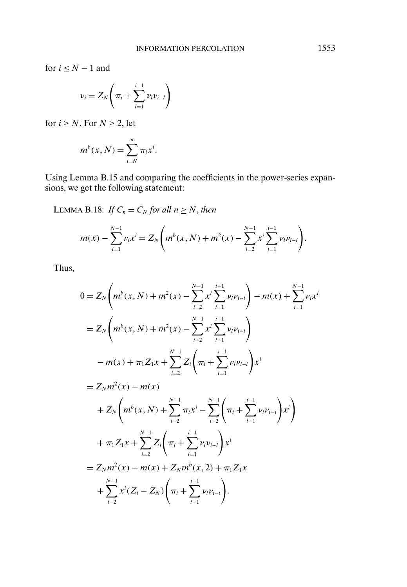for  $i \leq N - 1$  and

$$
\nu_i = Z_N \left( \pi_i + \sum_{l=1}^{i-1} \nu_l \nu_{i-l} \right)
$$

for  $i \geq N$ . For  $N \geq 2$ , let

$$
m^{b}(x, N) = \sum_{i=N}^{\infty} \pi_{i} x^{i}.
$$

Using Lemma B.15 and comparing the coefficients in the power-series expansions, we get the following statement:

LEMMA B.18: *If*  $C_n = C_N$  *for all*  $n \geq N$ *, then* 

$$
m(x) - \sum_{i=1}^{N-1} \nu_i x^i = Z_N \left( m^b(x, N) + m^2(x) - \sum_{i=2}^{N-1} x^i \sum_{l=1}^{i-1} \nu_l \nu_{i-l} \right).
$$

Thus,

$$
0 = Z_{N} \left( m^{b}(x, N) + m^{2}(x) - \sum_{i=2}^{N-1} x^{i} \sum_{l=1}^{i-1} v_{l}v_{i-l} \right) - m(x) + \sum_{i=1}^{N-1} v_{i}x^{i}
$$
  
\n
$$
= Z_{N} \left( m^{b}(x, N) + m^{2}(x) - \sum_{i=2}^{N-1} x^{i} \sum_{l=1}^{i-1} v_{l}v_{i-l} \right)
$$
  
\n
$$
- m(x) + \pi_{1} Z_{1}x + \sum_{i=2}^{N-1} Z_{i} \left( \pi_{i} + \sum_{l=1}^{i-1} v_{l}v_{i-l} \right) x^{i}
$$
  
\n
$$
= Z_{N} m^{2}(x) - m(x)
$$
  
\n
$$
+ Z_{N} \left( m^{b}(x, N) + \sum_{i=2}^{N-1} \pi_{i}x^{i} - \sum_{i=2}^{N-1} \left( \pi_{i} + \sum_{l=1}^{i-1} v_{l}v_{i-l} \right) x^{i} \right)
$$
  
\n
$$
+ \pi_{1} Z_{1}x + \sum_{i=2}^{N-1} Z_{i} \left( \pi_{i} + \sum_{l=1}^{i-1} v_{l}v_{i-l} \right) x^{i}
$$
  
\n
$$
= Z_{N} m^{2}(x) - m(x) + Z_{N} m^{b}(x, 2) + \pi_{1} Z_{1}x
$$
  
\n
$$
+ \sum_{i=2}^{N-1} x^{i} (Z_{i} - Z_{N}) \left( \pi_{i} + \sum_{l=1}^{i-1} v_{l}v_{i-l} \right).
$$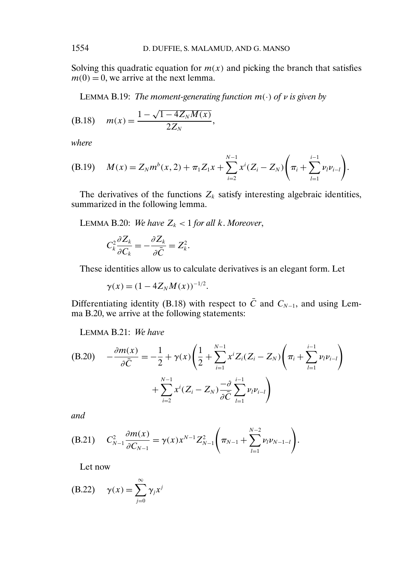Solving this quadratic equation for  $m(x)$  and picking the branch that satisfies  $m(0) = 0$ , we arrive at the next lemma.

LEMMA B.19: *The moment-generating function* m(·) *of* ν *is given by*

(B.18) 
$$
m(x) = \frac{1 - \sqrt{1 - 4Z_N M(x)}}{2Z_N},
$$

*where*

(B.19) 
$$
M(x) = Z_N m^b(x, 2) + \pi_1 Z_1 x + \sum_{i=2}^{N-1} x^i (Z_i - Z_N) \left( \pi_i + \sum_{l=1}^{i-1} \nu_l \nu_{i-l} \right).
$$

The derivatives of the functions  $Z_k$  satisfy interesting algebraic identities, summarized in the following lemma.

LEMMA B.20: We have  $Z_k < 1$  for all k. Moreover,

$$
C_k^2 \frac{\partial Z_k}{\partial C_k} = -\frac{\partial Z_k}{\partial \bar{C}} = Z_k^2.
$$

These identities allow us to calculate derivatives is an elegant form. Let

$$
\gamma(x) = (1 - 4Z_N M(x))^{-1/2}.
$$

Differentiating identity (B.18) with respect to  $\overline{C}$  and  $C_{N-1}$ , and using Lemma B.20, we arrive at the following statements:

LEMMA B.21: *We have*

(B.20) 
$$
-\frac{\partial m(x)}{\partial \bar{C}} = -\frac{1}{2} + \gamma(x) \left( \frac{1}{2} + \sum_{i=1}^{N-1} x^i Z_i (Z_i - Z_N) \left( \pi_i + \sum_{l=1}^{i-1} \nu_l \nu_{i-l} \right) + \sum_{i=2}^{N-1} x^i (Z_i - Z_N) \frac{-\partial}{\partial \bar{C}} \sum_{l=1}^{i-1} \nu_l \nu_{i-l} \right)
$$

*and*

(B.21) 
$$
C_{N-1}^{2} \frac{\partial m(x)}{\partial C_{N-1}} = \gamma(x) x^{N-1} Z_{N-1}^{2} \left( \pi_{N-1} + \sum_{l=1}^{N-2} \nu_{l} \nu_{N-1-l} \right).
$$

Let now

$$
(B.22) \quad \gamma(x) = \sum_{j=0}^{\infty} \gamma_j x^j
$$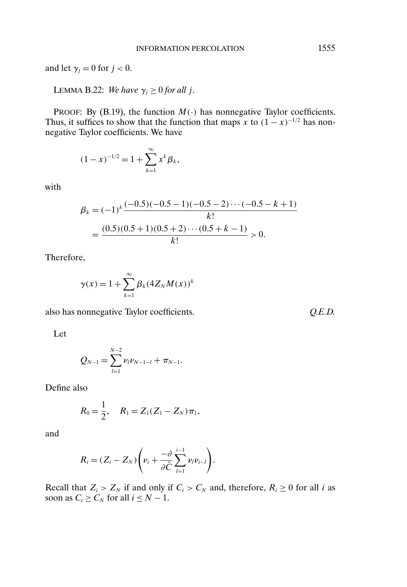and let  $\gamma_j = 0$  for  $j < 0$ .

LEMMA B.22: *We have*  $\gamma_j \geq 0$  for all j.

PROOF: By (B.19), the function  $M(\cdot)$  has nonnegative Taylor coefficients. Thus, it suffices to show that the function that maps x to  $(1 - x)^{-1/2}$  has nonnegative Taylor coefficients. We have

$$
(1-x)^{-1/2} = 1 + \sum_{k=1}^{\infty} x^k \beta_k,
$$

with

$$
\beta_k = (-1)^k \frac{(-0.5)(-0.5 - 1)(-0.5 - 2) \cdots (-0.5 - k + 1)}{k!}
$$
  
= 
$$
\frac{(0.5)(0.5 + 1)(0.5 + 2) \cdots (0.5 + k - 1)}{k!} > 0.
$$

Therefore,

$$
\gamma(x) = 1 + \sum_{k=1}^{\infty} \beta_k (4Z_N M(x))^k
$$

also has nonnegative Taylor coefficients. *Q.E.D.*

Let

$$
Q_{N-1} = \sum_{l=1}^{N-2} \nu_l \nu_{N-1-l} + \pi_{N-1}.
$$

Define also

$$
R_0 = \frac{1}{2}, \quad R_1 = Z_1(Z_1 - Z_N)\pi_1,
$$

and

$$
R_i = (Z_i - Z_N) \left( \nu_i + \frac{-\partial}{\partial \bar{C}} \sum_{l=1}^{i-1} \nu_l \nu_{i-l} \right).
$$

Recall that  $Z_i > Z_N$  if and only if  $C_i > C_N$  and, therefore,  $R_i \ge 0$  for all i as soon as  $C_i \geq C_N$  for all  $i \leq N-1$ .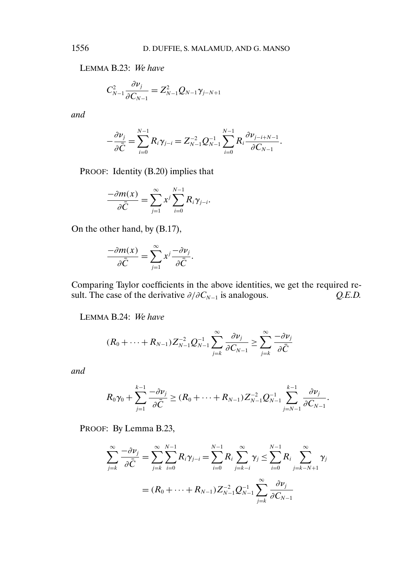LEMMA B.23: *We have*

$$
C_{N-1}^{2}\frac{\partial v_{j}}{\partial C_{N-1}}=Z_{N-1}^{2}Q_{N-1}\gamma_{j-N+1}
$$

*and*

$$
-\frac{\partial \nu_j}{\partial \bar{C}} = \sum_{i=0}^{N-1} R_i \gamma_{j-i} = Z_{N-1}^{-2} Q_{N-1}^{-1} \sum_{i=0}^{N-1} R_i \frac{\partial \nu_{j-i+N-1}}{\partial C_{N-1}}.
$$

PROOF: Identity (B.20) implies that

$$
\frac{-\partial m(x)}{\partial \bar{C}} = \sum_{j=1}^{\infty} x^j \sum_{i=0}^{N-1} R_i \gamma_{j-i}.
$$

On the other hand, by (B.17),

$$
\frac{-\partial m(x)}{\partial \bar{C}} = \sum_{j=1}^{\infty} x^j \frac{-\partial \nu_j}{\partial \bar{C}}.
$$

Comparing Taylor coefficients in the above identities, we get the required result. The case of the derivative  $\partial/\partial C_{N-1}$  is analogous. Q.E.D. sult. The case of the derivative  $\partial/\partial C_{N-1}$  is analogous.

LEMMA B.24: *We have*

$$
(R_0 + \dots + R_{N-1})Z_{N-1}^{-2}Q_{N-1}^{-1}\sum_{j=k}^{\infty} \frac{\partial v_j}{\partial C_{N-1}} \ge \sum_{j=k}^{\infty} \frac{-\partial v_j}{\partial \bar{C}}
$$

*and*

$$
R_0\gamma_0+\sum_{j=1}^{k-1}\frac{-\partial\nu_j}{\partial\bar{C}}\geq (R_0+\cdots+R_{N-1})Z_{N-1}^{-2}Q_{N-1}^{-1}\sum_{j=N-1}^{k-1}\frac{\partial\nu_j}{\partial C_{N-1}}.
$$

PROOF: By Lemma B.23,

$$
\sum_{j=k}^{\infty} \frac{-\partial \nu_j}{\partial \bar{C}} = \sum_{j=k}^{\infty} \sum_{i=0}^{N-1} R_i \gamma_{j-i} = \sum_{i=0}^{N-1} R_i \sum_{j=k-i}^{\infty} \gamma_j \le \sum_{i=0}^{N-1} R_i \sum_{j=k-N+1}^{\infty} \gamma_j
$$

$$
= (R_0 + \dots + R_{N-1}) Z_{N-1}^{-2} Q_{N-1}^{-1} \sum_{j=k}^{\infty} \frac{\partial \nu_j}{\partial C_{N-1}}
$$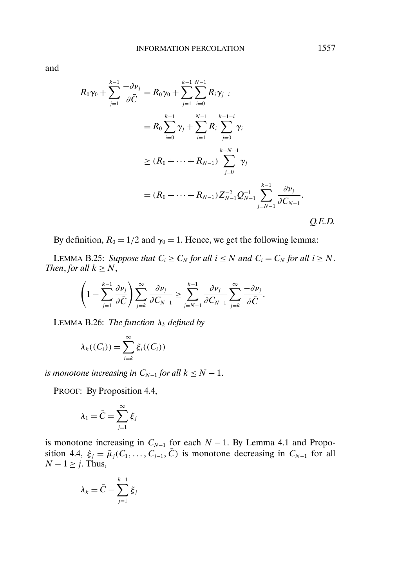$$
R_0 \gamma_0 + \sum_{j=1}^{k-1} \frac{-\partial \nu_j}{\partial \bar{C}} = R_0 \gamma_0 + \sum_{j=1}^{k-1} \sum_{i=0}^{N-1} R_i \gamma_{j-i}
$$
  
=  $R_0 \sum_{i=0}^{k-1} \gamma_j + \sum_{i=1}^{N-1} R_i \sum_{j=0}^{k-1-i} \gamma_i$   

$$
\ge (R_0 + \dots + R_{N-1}) \sum_{j=0}^{k-N+1} \gamma_j
$$
  
=  $(R_0 + \dots + R_{N-1}) Z_{N-1}^{-2} Q_{N-1}^{-1} \sum_{j=N-1}^{k-1} \frac{\partial \nu_j}{\partial C_{N-1}}.$   
Q.E.D.

By definition,  $R_0 = 1/2$  and  $\gamma_0 = 1$ . Hence, we get the following lemma:

LEMMA B.25: *Suppose that*  $C_i \geq C_N$  *for all*  $i \leq N$  *and*  $C_i = C_N$  *for all*  $i \geq N$ . *Then, for all*  $k \geq N$ ,

$$
\left(1-\sum_{j=1}^{k-1}\frac{\partial v_j}{\partial \bar{C}}\right)\sum_{j=k}^{\infty}\frac{\partial v_j}{\partial C_{N-1}}\geq \sum_{j=N-1}^{k-1}\frac{\partial v_j}{\partial C_{N-1}}\sum_{j=k}^{\infty}\frac{-\partial v_j}{\partial \bar{C}}.
$$

LEMMA B.26: *The function*  $\lambda_k$  *defined by* 

$$
\lambda_k((C_i)) = \sum_{i=k}^{\infty} \xi_i((C_i))
$$

*is monotone increasing in*  $C_{N-1}$  *for all*  $k \leq N-1$ *.* 

PROOF: By Proposition 4.4,

$$
\lambda_1 = \bar{C} = \sum_{j=1}^{\infty} \xi_j
$$

is monotone increasing in  $C_{N-1}$  for each  $N-1$ . By Lemma 4.1 and Proposition 4.4,  $\xi_j = \bar{\mu}_j(C_1, \ldots, C_{j-1}, \bar{C})$  is monotone decreasing in  $C_{N-1}$  for all  $N - 1 \ge j$ . Thus,

$$
\lambda_k = \bar{C} - \sum_{j=1}^{k-1} \xi_j
$$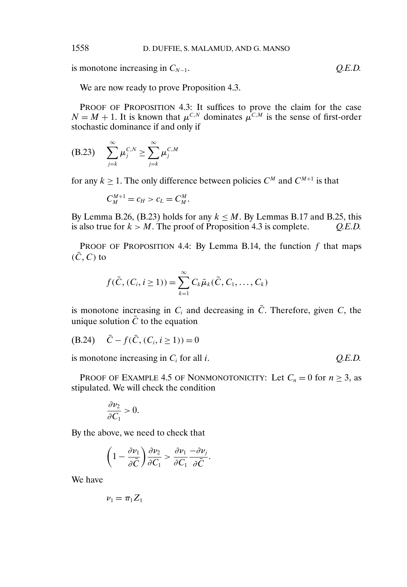is monotone increasing in  $C_{N-1}$ .  $Q.E.D.$ 

We are now ready to prove Proposition 4.3.

PROOF OF PROPOSITION 4.3: It suffices to prove the claim for the case  $N = M + 1$ . It is known that  $\mu^{C,N}$  dominates  $\mu^{C,M}$  is the sense of first-order stochastic dominance if and only if

$$
(B.23) \quad \sum_{j=k}^{\infty} \mu_j^{C,N} \ge \sum_{j=k}^{\infty} \mu_j^{C,M}
$$

for any  $k > 1$ . The only difference between policies  $C^M$  and  $C^{M+1}$  is that

$$
C_M^{M+1} = c_H > c_L = C_M^M.
$$

By Lemma B.26, (B.23) holds for any  $k \le M$ . By Lemmas B.17 and B.25, this is also true for  $k > M$ . The proof of Proposition 4.3 is complete.  $Q.E.D.$ 

PROOF OF PROPOSITION 4.4: By Lemma B.14, the function  $f$  that maps  $(\bar{C}, C)$  to

$$
f(\bar{C}, (C_i, i \geq 1)) = \sum_{k=1}^{\infty} C_k \bar{\mu}_k(\bar{C}, C_1, \ldots, C_k)
$$

is monotone increasing in  $C_i$  and decreasing in  $\overline{C}$ . Therefore, given C, the unique solution  $\overline{C}$  to the equation

(B.24)  $\bar{C} - f(\bar{C}, (C_i, i > 1)) = 0$ 

is monotone increasing in  $C_i$  for all i.  $Q.E.D.$ 

PROOF OF EXAMPLE 4.5 OF NONMONOTONICITY: Let  $C_n = 0$  for  $n \ge 3$ , as stipulated. We will check the condition

$$
\frac{\partial \nu_2}{\partial C_1} > 0.
$$

By the above, we need to check that

$$
\left(1 - \frac{\partial \nu_1}{\partial \bar{C}}\right) \frac{\partial \nu_2}{\partial C_1} > \frac{\partial \nu_1}{\partial C_1} \frac{-\partial \nu_j}{\partial \bar{C}}.
$$

We have

$$
\nu_1=\pi_1Z_1
$$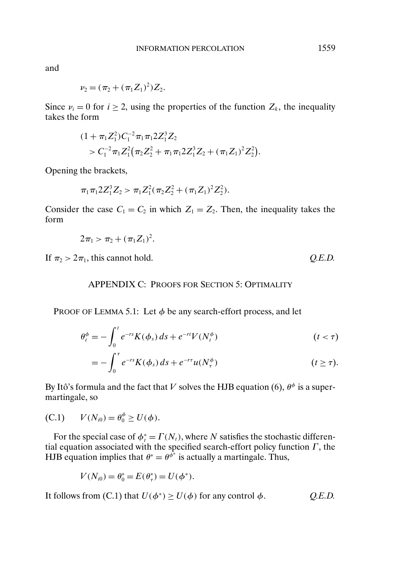and

$$
\nu_2 = (\pi_2 + (\pi_1 Z_1)^2) Z_2.
$$

Since  $v_i = 0$  for  $i \ge 2$ , using the properties of the function  $Z_k$ , the inequality takes the form

$$
(1 + \pi_1 Z_1^2) C_1^{-2} \pi_1 \pi_1 2 Z_1^3 Z_2
$$
  
> 
$$
C_1^{-2} \pi_1 Z_1^2 (\pi_2 Z_2^2 + \pi_1 \pi_1 2 Z_1^3 Z_2 + (\pi_1 Z_1)^2 Z_2^2).
$$

Opening the brackets,

$$
\pi_1\pi_1 2Z_1^3 Z_2 > \pi_1 Z_1^2(\pi_2 Z_2^2 + (\pi_1 Z_1)^2 Z_2^2).
$$

Consider the case  $C_1 = C_2$  in which  $Z_1 = Z_2$ . Then, the inequality takes the form

$$
2\pi_1 > \pi_2 + (\pi_1 Z_1)^2.
$$

If  $\pi_2 > 2\pi_1$ , this cannot hold.  $Q.E.D.$ 

# APPENDIX C: PROOFS FOR SECTION 5: OPTIMALITY

PROOF OF LEMMA 5.1: Let  $\phi$  be any search-effort process, and let

$$
\begin{aligned}\n\theta_t^{\phi} &= -\int_0^t e^{-rs} K(\phi_s) \, ds + e^{-rt} V(N_t^{\phi}) & (t < \tau) \\
&= -\int_0^{\tau} e^{-rs} K(\phi_s) \, ds + e^{-r\tau} u(N_\tau^{\phi}) & (t \geq \tau).\n\end{aligned}
$$

By Itô's formula and the fact that V solves the HJB equation (6),  $\theta^{\phi}$  is a supermartingale, so

(C.1) 
$$
V(N_{i0}) = \theta_0^{\phi} \ge U(\phi)
$$
.

For the special case of  $\phi_t^* = \Gamma(N_t)$ , where N satisfies the stochastic differential equation associated with the specified search-effort policy function  $\Gamma$ , the HJB equation implies that  $\theta^* = \theta^{\phi^*}$  is actually a martingale. Thus,

$$
V(N_{i0}) = \theta_0^* = E(\theta_\tau^*) = U(\phi^*).
$$

It follows from  $(C.1)$  that  $U(\phi^*) \ge U(\phi)$  for any control  $\phi$ .  $Q.E.D.$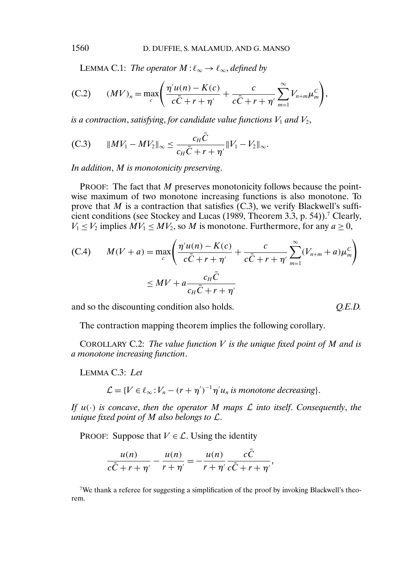LEMMA C.1: *The operator*  $M: \ell_{\infty} \to \ell_{\infty}$ , *defined by* 

(C.2) 
$$
(MV)_n = \max_c \left( \frac{\eta' u(n) - K(c)}{c\bar{C} + r + \eta'} + \frac{c}{c\bar{C} + r + \eta'} \sum_{m=1}^{\infty} V_{n+m} \mu_m^C \right),
$$

*is a contraction, satisfying, for candidate value functions*  $V_1$  *and*  $V_2$ *,* 

(C.3) 
$$
||MV_1 - MV_2||_{\infty} \leq \frac{c_H \bar{C}}{c_H \bar{C} + r + \eta'} ||V_1 - V_2||_{\infty}.
$$

*In addition*, M *is monotonicity preserving*.

PROOF: The fact that M preserves monotonicity follows because the pointwise maximum of two monotone increasing functions is also monotone. To prove that  $M$  is a contraction that satisfies (C.3), we verify Blackwell's sufficient conditions (see Stockey and Lucas (1989, Theorem 3.3, p. 54)).<sup>7</sup> Clearly,  $V_1 \le V_2$  implies  $MV_1 \le MV_2$ , so M is monotone. Furthermore, for any  $a \ge 0$ ,

(C.4) 
$$
M(V+a) = \max_{c} \left( \frac{\eta' u(n) - K(c)}{c\bar{C} + r + \eta'} + \frac{c}{c\bar{C} + r + \eta'} \sum_{m=1}^{\infty} (V_{n+m} + a) \mu_m^C \right)
$$

$$
\leq MV + a \frac{c_H \bar{C}}{c_H \bar{C} + r + \eta'}
$$

and so the discounting condition also holds. *Q.E.D.*

The contraction mapping theorem implies the following corollary.

COROLLARY C.2: *The value function* V *is the unique fixed point of* M *and is a monotone increasing function*.

LEMMA C.3: *Let*

 $\mathcal{L} = \{ V \in \ell_\infty : V_n - (r + \eta')^{-1} \eta' u_n \text{ is monotone decreasing} \}.$ 

*If*  $u(\cdot)$  *is concave, then the operator* M *maps*  $\mathcal L$  *into itself. Consequently, the unique fixed point of* M *also belongs to* L.

PROOF: Suppose that  $V \in \mathcal{L}$ . Using the identity

$$
\frac{u(n)}{c\bar{C}+r+\eta'}-\frac{u(n)}{r+\eta'}=-\frac{u(n)}{r+\eta'}\frac{c\bar{C}}{c\bar{C}+r+\eta'},
$$

<sup>7</sup>We thank a referee for suggesting a simplification of the proof by invoking Blackwell's theorem.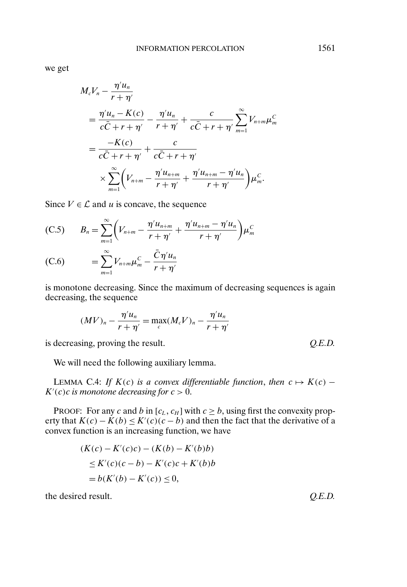we get

$$
M_c V_n - \frac{\eta' u_n}{r + \eta'}
$$
  
= 
$$
\frac{\eta' u_n - K(c)}{c\bar{C} + r + \eta'} - \frac{\eta' u_n}{r + \eta'} + \frac{c}{c\bar{C} + r + \eta'} \sum_{m=1}^{\infty} V_{n+m} \mu_m^C
$$
  
= 
$$
\frac{-K(c)}{c\bar{C} + r + \eta'} + \frac{c}{c\bar{C} + r + \eta'}
$$
  

$$
\times \sum_{m=1}^{\infty} \left( V_{n+m} - \frac{\eta' u_{n+m}}{r + \eta'} + \frac{\eta' u_{n+m} - \eta' u_n}{r + \eta'} \right) \mu_m^C.
$$

Since  $V \in \mathcal{L}$  and u is concave, the sequence

(C.5) 
$$
B_n = \sum_{m=1}^{\infty} \left( V_{n+m} - \frac{\eta' u_{n+m}}{r + \eta'} + \frac{\eta' u_{n+m} - \eta' u_n}{r + \eta'} \right) \mu_m^C
$$

(C.6) 
$$
= \sum_{m=1}^{\infty} V_{n+m} \mu_m^C - \frac{\bar{C} \eta' u_n}{r + \eta'}
$$

is monotone decreasing. Since the maximum of decreasing sequences is again decreasing, the sequence

$$
(MV)_n - \frac{\eta' u_n}{r + \eta'} = \max_c (M_c V)_n - \frac{\eta' u_n}{r + \eta'}
$$

is decreasing, proving the result. *Q.E.D.*

We will need the following auxiliary lemma.

LEMMA C.4: *If*  $K(c)$  *is a convex differentiable function, then*  $c \mapsto K(c)$  –  $K'(c)c$  *is monotone decreasing for*  $c > 0$ .

PROOF: For any c and b in  $[c_L, c_H]$  with  $c \ge b$ , using first the convexity property that  $K(c) - K(b) \leq K'(c)(c - b)$  and then the fact that the derivative of a convex function is an increasing function, we have

$$
(K(c) - K'(c)c) - (K(b) - K'(b)b)
$$
  
\n
$$
\leq K'(c)(c - b) - K'(c)c + K'(b)b
$$
  
\n
$$
= b(K'(b) - K'(c)) \leq 0,
$$

the desired result.  $Q.E.D.$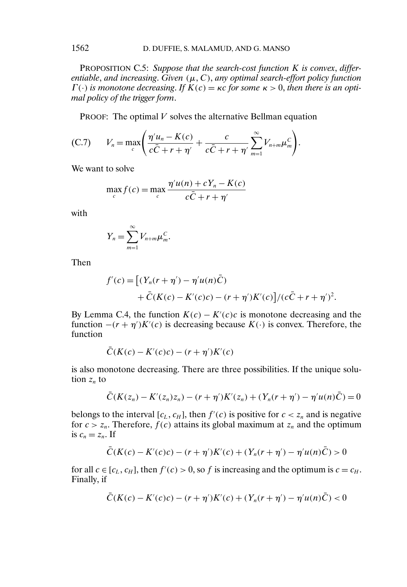PROPOSITION C.5: *Suppose that the search-cost function* K *is convex*, *differentiable, and increasing. Given*  $(\mu, C)$ *, any optimal search-effort policy function*  $Γ(·)$  *is monotone decreasing.* If  $K(c) = \kappa c$  for some  $\kappa > 0$ , then there is an opti*mal policy of the trigger form*.

PROOF: The optimal  $V$  solves the alternative Bellman equation

(C.7) 
$$
V_n = \max_c \left( \frac{\eta' u_n - K(c)}{c\bar{C} + r + \eta'} + \frac{c}{c\bar{C} + r + \eta'} \sum_{m=1}^{\infty} V_{n+m} \mu_m^C \right).
$$

We want to solve

$$
\max_{c} f(c) = \max_{c} \frac{\eta' u(n) + cY_n - K(c)}{c\bar{C} + r + \eta'}
$$

with

$$
Y_n = \sum_{m=1}^{\infty} V_{n+m} \mu_m^C.
$$

Then

$$
f'(c) = [(Y_n(r + \eta') - \eta'u(n)\bar{C})
$$
  
+  $\bar{C}(K(c) - K'(c)c) - (r + \eta')K'(c)]/(c\bar{C} + r + \eta')^2$ .

By Lemma C.4, the function  $K(c) - K'(c)c$  is monotone decreasing and the function  $-(r + \eta')K'(c)$  is decreasing because  $K(\cdot)$  is convex. Therefore, the function

$$
\bar{C}(K(c) - K'(c)c) - (r + \eta')K'(c)
$$

is also monotone decreasing. There are three possibilities. If the unique solution  $z_n$  to

$$
\bar{C}(K(z_n) - K'(z_n)z_n) - (r + \eta')K'(z_n) + (Y_n(r + \eta') - \eta'u(n)\bar{C}) = 0
$$

belongs to the interval  $[c_L, c_H]$ , then  $f'(c)$  is positive for  $c < z_n$  and is negative for  $c > z_n$ . Therefore,  $f(c)$  attains its global maximum at  $z_n$  and the optimum is  $c_n = z_n$ . If

$$
\bar{C}(K(c) - K'(c)c) - (r + \eta')K'(c) + (Y_n(r + \eta') - \eta'u(n)\bar{C}) > 0
$$

for all  $c \in [c_L, c_H]$ , then  $f'(c) > 0$ , so f is increasing and the optimum is  $c = c_H$ . Finally, if

$$
\bar{C}(K(c) - K'(c)c) - (r + \eta')K'(c) + (Y_n(r + \eta') - \eta'u(n)\bar{C}) < 0
$$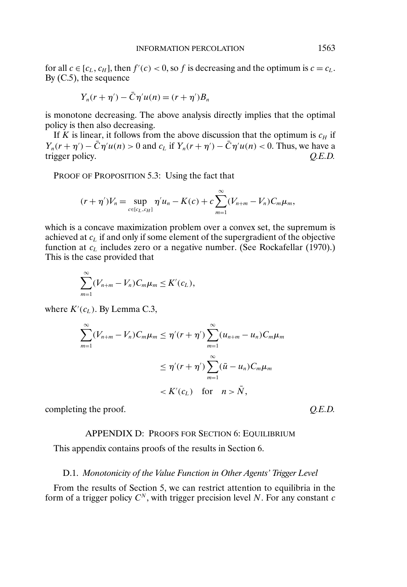for all  $c \in [c_L, c_H]$ , then  $f'(c) < 0$ , so f is decreasing and the optimum is  $c = c_L$ . By (C.5), the sequence

$$
Y_n(r+\eta')-\bar{C}\eta' u(n)=(r+\eta')B_n
$$

is monotone decreasing. The above analysis directly implies that the optimal policy is then also decreasing.

If K is linear, it follows from the above discussion that the optimum is  $c_H$  if  $Y_n(r + \eta') - \overline{C} \eta' u(n) > 0$  and  $c_L$  if  $Y_n(r + \eta') - \overline{C} \eta' u(n) < 0$ . Thus, we have a trigger policy.  $Q.E.D.$ 

PROOF OF PROPOSITION 5.3: Using the fact that

$$
(r + \eta')V_n = \sup_{c \in [c_L, c_H]} \eta' u_n - K(c) + c \sum_{m=1}^{\infty} (V_{n+m} - V_n) C_m \mu_m,
$$

which is a concave maximization problem over a convex set, the supremum is achieved at  $c<sub>L</sub>$  if and only if some element of the supergradient of the objective function at  $c_L$  includes zero or a negative number. (See Rockafellar (1970).) This is the case provided that

$$
\sum_{m=1}^{\infty} (V_{n+m} - V_n) C_m \mu_m \leq K'(c_L),
$$

where  $K'(c_L)$ . By Lemma C.3,

$$
\sum_{m=1}^{\infty} (V_{n+m} - V_n) C_m \mu_m \le \eta'(r + \eta') \sum_{m=1}^{\infty} (u_{n+m} - u_n) C_m \mu_m
$$
  

$$
\le \eta'(r + \eta') \sum_{m=1}^{\infty} (\bar{u} - u_n) C_m \mu_m
$$
  

$$
< K'(c_L) \quad \text{for} \quad n > \bar{N},
$$

completing the proof.  $Q.E.D.$ 

# APPENDIX D: PROOFS FOR SECTION 6: EQUILIBRIUM

This appendix contains proofs of the results in Section 6.

## D.1. *Monotonicity of the Value Function in Other Agents' Trigger Level*

From the results of Section 5, we can restrict attention to equilibria in the form of a trigger policy  $C^N$ , with trigger precision level N. For any constant c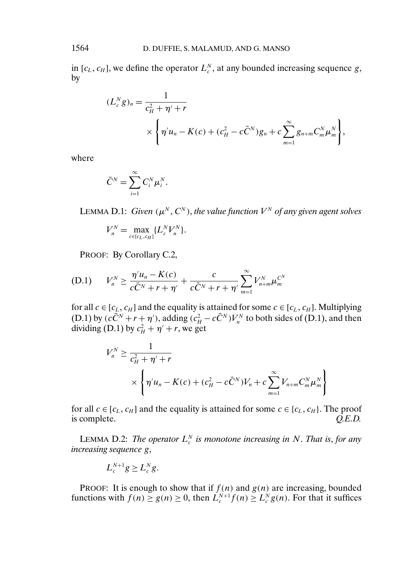in  $[c_L, c_H]$ , we define the operator  $L_c^N$ , at any bounded increasing sequence g, by

$$
(L_c^N g)_n = \frac{1}{c_H^2 + \eta' + r}
$$
  
 
$$
\times \left\{ \eta' u_n - K(c) + (c_H^2 - c\bar{C}^N)g_n + c \sum_{m=1}^{\infty} g_{n+m} C_m^N \mu_m^N \right\},
$$

where

$$
\bar{C}^N = \sum_{i=1}^{\infty} C_i^N \mu_i^N.
$$

LEMMA D.1: *Given*  $(\mu^N, C^N)$ , *the value function*  $V^N$  *of any given agent solves* 

$$
V_n^N = \max_{c \in [c_L, c_H]} \{L_c^N V_n^N\}.
$$

PROOF: By Corollary C.2,

(D.1) 
$$
V_n^N \ge \frac{\eta' u_n - K(c)}{c \bar{C}^N + r + \eta'} + \frac{c}{c \bar{C}^N + r + \eta'} \sum_{m=1}^{\infty} V_{n+m}^N \mu_m^{C^N}
$$

for all  $c \in [c_L, c_H]$  and the equality is attained for some  $c \in [c_L, c_H]$ . Multiplying (D.1) by  $(c\bar{C}^N + r + \eta')$ , adding  $(c_H^2 - c\bar{C}^N)V_n^N$  to both sides of (D.1), and then dividing (D.1) by  $c_H^2 + \eta' + r$ , we get

$$
V_n^N \ge \frac{1}{c_H^2 + \eta' + r}
$$
  
 
$$
\times \left\{ \eta' u_n - K(c) + (c_H^2 - c\bar{C}^N) V_n + c \sum_{m=1}^{\infty} V_{n+m} C_m^N \mu_m^N \right\}
$$

for all  $c \in [c_L, c_H]$  and the equality is attained for some  $c \in \{c_L, c_H\}$ . The proof is complete. *Q.E.D.*

LEMMA D.2: The operator  $L_c^N$  is monotone increasing in N. That is, for any *increasing sequence* g,

$$
L_c^{N+1}g \ge L_c^N g.
$$

PROOF: It is enough to show that if  $f(n)$  and  $g(n)$  are increasing, bounded functions with  $f(n) \ge g(n) \ge 0$ , then  $L_c^{N+1} f(n) \ge L_c^N g(n)$ . For that it suffices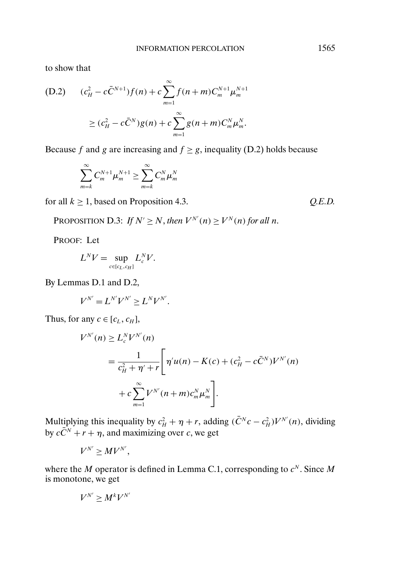to show that

(D.2) 
$$
(c_H^2 - c\bar{C}^{N+1})f(n) + c \sum_{m=1}^{\infty} f(n+m)C_m^{N+1} \mu_m^{N+1}
$$

$$
\geq (c_H^2 - c\bar{C}^N)g(n) + c \sum_{m=1}^{\infty} g(n+m)C_m^N \mu_m^N.
$$

Because f and g are increasing and  $f \ge g$ , inequality (D.2) holds because

$$
\sum_{m=k}^{\infty} C_m^{N+1} \mu_m^{N+1} \ge \sum_{m=k}^{\infty} C_m^N \mu_m^N
$$

for all  $k \ge 1$ , based on Proposition 4.3.  $Q.E.D.$ 

PROPOSITION D.3: *If*  $N' \ge N$ , *then*  $V^{N'}(n) \ge V^N(n)$  *for all n*.

PROOF: Let

$$
L^N V = \sup_{c \in [c_L, c_H]} L^N_c V.
$$

By Lemmas D.1 and D.2,

$$
V^{N'} = L^{N'}V^{N'} \geq L^N V^{N'}.
$$

Thus, for any  $c \in [c_L, c_H]$ ,

$$
V^{N'}(n) \ge L_c^N V^{N'}(n)
$$
  
=  $\frac{1}{c_H^2 + \eta' + r} \left[ \eta' u(n) - K(c) + (c_H^2 - c\bar{C}^N) V^{N'}(n) + c \sum_{m=1}^{\infty} V^{N'}(n+m) c_m^N \mu_m^N \right].$ 

Multiplying this inequality by  $c_H^2 + \eta + r$ , adding  $(\bar{C}^N c - c_H^2) V^{N'}(n)$ , dividing by  $c\bar{C}^N + r + \eta$ , and maximizing over c, we get

$$
V^{N'}\geq MV^{N'},
$$

where the M operator is defined in Lemma C.1, corresponding to  $c^N$ . Since M is monotone, we get

$$
V^{N'}\geq M^k V^{N'}
$$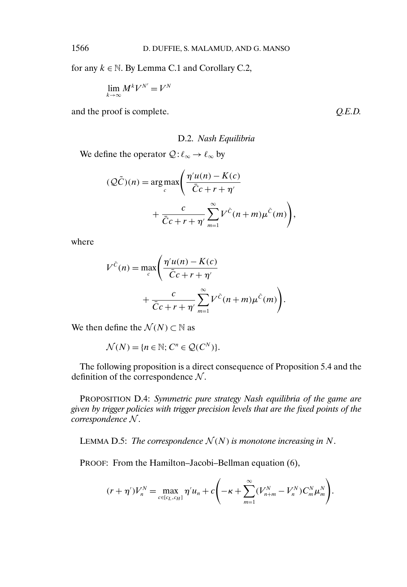for any  $k \in \mathbb{N}$ . By Lemma C.1 and Corollary C.2,

$$
\lim_{k\to\infty}M^kV^{N'}=V^N
$$

and the proof is complete.  $Q.E.D.$ 

D.2. *Nash Equilibria*

We define the operator  $\mathcal{Q}: \ell_{\infty} \to \ell_{\infty}$  by

$$
\begin{aligned} (Q\tilde{C})(n) &= \arg \max_{c} \left( \frac{\eta'u(n) - K(c)}{\bar{C}c + r + \eta'} \right. \\ &\quad + \frac{c}{\bar{C}c + r + \eta'} \sum_{m=1}^{\infty} V^{\tilde{C}}(n+m) \mu^{\tilde{C}}(m) \right), \end{aligned}
$$

where

$$
V^{\tilde{C}}(n) = \max_{c} \left( \frac{\eta' u(n) - K(c)}{\bar{C}c + r + \eta'} + \frac{c}{\bar{C}c + r + \eta'} \sum_{m=1}^{\infty} V^{\tilde{C}}(n+m) \mu^{\tilde{C}}(m) \right).
$$

We then define the  $\mathcal{N}(N) \subset \mathbb{N}$  as

$$
\mathcal{N}(N) = \{ n \in \mathbb{N}; C^n \in \mathcal{Q}(C^N) \}.
$$

The following proposition is a direct consequence of Proposition 5.4 and the definition of the correspondence  $N$ .

PROPOSITION D.4: *Symmetric pure strategy Nash equilibria of the game are given by trigger policies with trigger precision levels that are the fixed points of the correspondence* N .

LEMMA D.5: *The correspondence*  $N(N)$  *is monotone increasing in* N.

PROOF: From the Hamilton–Jacobi–Bellman equation (6),

$$
(r + \eta')V_n^N = \max_{c \in [c_L, c_H]} \eta' u_n + c \left( -\kappa + \sum_{m=1}^{\infty} (V_{n+m}^N - V_n^N) C_m^N \mu_m^N \right).
$$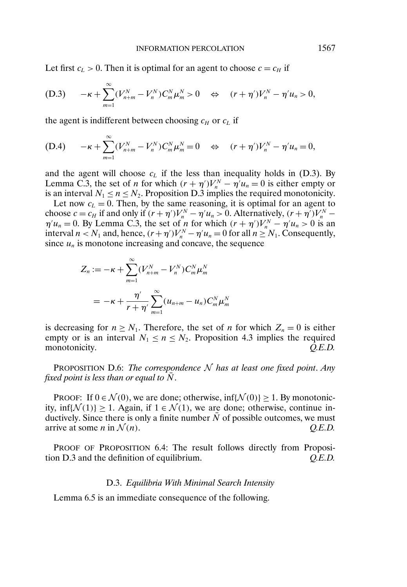Let first  $c_L > 0$ . Then it is optimal for an agent to choose  $c = c_H$  if

(D.3) 
$$
-\kappa + \sum_{m=1}^{\infty} (V_{n+m}^N - V_n^N) C_m^N \mu_m^N > 0 \quad \Leftrightarrow \quad (r + \eta')V_n^N - \eta' u_n > 0,
$$

the agent is indifferent between choosing  $c_H$  or  $c_L$  if

$$
(D.4) \qquad -\kappa + \sum_{m=1}^{\infty} (V_{n+m}^N - V_n^N) C_m^N \mu_m^N = 0 \quad \Leftrightarrow \quad (r + \eta') V_n^N - \eta' u_n = 0,
$$

and the agent will choose  $c<sub>L</sub>$  if the less than inequality holds in (D.3). By Lemma C.3, the set of *n* for which  $(r + \eta')V_n^N - \eta' u_n = 0$  is either empty or is an interval  $N_1 \le n \le N_2$ . Proposition D.3 implies the required monotonicity.

Let now  $c_L = 0$ . Then, by the same reasoning, it is optimal for an agent to choose  $c = c_H$  if and only if  $(r + \eta')V_n^N - \eta' u_n > 0$ . Alternatively,  $(r + \eta')V_n^N \eta' u_n = 0$ . By Lemma C.3, the set of *n* for which  $(r + \eta')V_n^N - \eta' u_n > 0$  is an interval  $n < N_1$  and, hence,  $(r + \eta')V_n^N - \eta' u_n = 0$  for all  $n \ge N_1$ . Consequently, since  $u_n$  is monotone increasing and concave, the sequence

$$
Z_n := -\kappa + \sum_{m=1}^{\infty} (V_{n+m}^N - V_n^N) C_m^N \mu_m^N
$$
  
= -\kappa + \frac{\eta'}{r + \eta'} \sum\_{m=1}^{\infty} (u\_{n+m} - u\_n) C\_m^N \mu\_m^N

is decreasing for  $n \geq N_1$ . Therefore, the set of *n* for which  $Z_n = 0$  is either empty or is an interval  $N_1 \le n \le N_2$ . Proposition 4.3 implies the required monotonicity.  $Q.E.D.$ 

PROPOSITION D.6: *The correspondence* N *has at least one fixed point*. *Any fixed point is less than or equal to* N.

PROOF: If  $0 \in \mathcal{N}(0)$ , we are done; otherwise, inf{ $\mathcal{N}(0)$ }  $\geq 1$ . By monotonicity, inf{ $\mathcal{N}(1)$ } > 1. Again, if  $1 \in \mathcal{N}(1)$ , we are done; otherwise, continue inductively. Since there is only a finite number  $\overline{N}$  of possible outcomes, we must arrive at some *n* in  $\mathcal{N}(n)$ .  $Q.E.D.$ 

PROOF OF PROPOSITION 6.4: The result follows directly from Proposition D.3 and the definition of equilibrium. *Q.E.D.*

### D.3. *Equilibria With Minimal Search Intensity*

Lemma 6.5 is an immediate consequence of the following.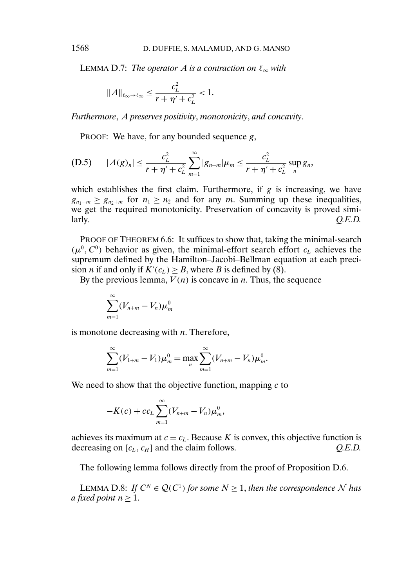LEMMA D.7: The operator A is a contraction on  $\ell_{\infty}$  with

$$
||A||_{\ell_{\infty}\to\ell_{\infty}}\leq\frac{c_L^2}{r+\eta'+c_L^2}<1.
$$

*Furthermore*, A *preserves positivity*, *monotonicity*, *and concavity*.

PROOF: We have, for any bounded sequence g,

(D.5) 
$$
|A(g)_n| \le \frac{c_L^2}{r + \eta' + c_L^2} \sum_{m=1}^{\infty} |g_{n+m}| \mu_m \le \frac{c_L^2}{r + \eta' + c_L^2} \sup_n g_n
$$

which establishes the first claim. Furthermore, if  $g$  is increasing, we have  $g_{n_1+m} \ge g_{n_2+m}$  for  $n_1 \ge n_2$  and for any m. Summing up these inequalities, we get the required monotonicity. Preservation of concavity is proved similarly. *Q.E.D.*

PROOF OF THEOREM 6.6: It suffices to show that, taking the minimal-search  $(\mu^0, C^0)$  behavior as given, the minimal-effort search effort  $c_L$  achieves the supremum defined by the Hamilton–Jacobi–Bellman equation at each precision *n* if and only if  $K'(c_L) \geq B$ , where *B* is defined by (8).

By the previous lemma,  $V(n)$  is concave in *n*. Thus, the sequence

$$
\sum_{m=1}^{\infty} (V_{n+m} - V_n) \mu_m^0
$$

is monotone decreasing with  $n$ . Therefore,

$$
\sum_{m=1}^{\infty} (V_{1+m} - V_1) \mu_m^0 = \max_{n} \sum_{m=1}^{\infty} (V_{n+m} - V_n) \mu_m^0.
$$

We need to show that the objective function, mapping  $c$  to

$$
-K(c) + ccL \sum_{m=1}^{\infty} (V_{n+m} - V_n) \mu_m^0,
$$

achieves its maximum at  $c = c_L$ . Because K is convex, this objective function is decreasing on  $[c_L, c_H]$  and the claim follows.  $Q.E.D.$ 

The following lemma follows directly from the proof of Proposition D.6.

LEMMA D.8: *If*  $C^N \in Q(C^1)$  for some  $N \geq 1$ , then the correspondence N has *a* fixed point  $n \geq 1$ .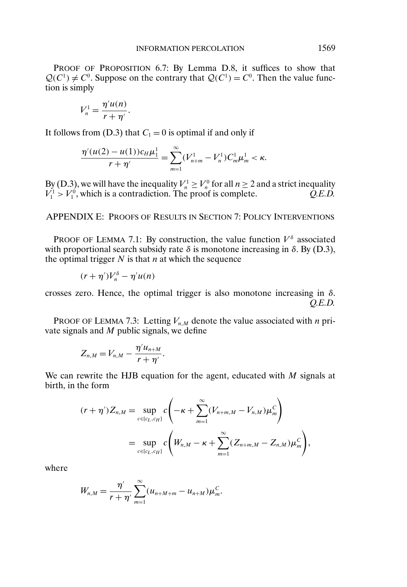PROOF OF PROPOSITION 6.7: By Lemma D.8, it suffices to show that  $Q(C^1) \neq C^0$ . Suppose on the contrary that  $Q(C^1) = C^0$ . Then the value function is simply

$$
V_n^1 = \frac{\eta' u(n)}{r + \eta'}.
$$

It follows from (D.3) that  $C_1 = 0$  is optimal if and only if

$$
\frac{\eta'(u(2)-u(1))c_H\mu_1^1}{r+\eta'}=\sum_{m=1}^{\infty}(V_{n+m}^1-V_n^1)C_m^1\mu_m^1<\kappa.
$$

By (D.3), we will have the inequality  $V_n^1 \ge V_n^0$  for all  $n \ge 2$  and a strict inequality  $V_1^1 > V_1^0$ , which is a contradiction. The proof is complete.  $Q.E.D.$ 

# APPENDIX E: PROOFS OF RESULTS IN SECTION 7: POLICY INTERVENTIONS

PROOF OF LEMMA 7.1: By construction, the value function  $V^{\delta}$  associated with proportional search subsidy rate  $\delta$  is monotone increasing in  $\delta$ . By (D.3), the optimal trigger  $N$  is that  $n$  at which the sequence

$$
(r+\eta')V_n^{\delta}-\eta' u(n)
$$

crosses zero. Hence, the optimal trigger is also monotone increasing in  $\delta$ . *Q.E.D.*

PROOF OF LEMMA 7.3: Letting  $V_{n,M}$  denote the value associated with *n* private signals and  $M$  public signals, we define

$$
Z_{n,M}=V_{n,M}-\frac{\eta' u_{n+M}}{r+\eta'}.
$$

We can rewrite the HJB equation for the agent, educated with  $M$  signals at birth, in the form

$$
(r + \eta')Z_{n,M} = \sup_{c \in [c_L, c_H]} c \left( -\kappa + \sum_{m=1}^{\infty} (V_{n+m,M} - V_{n,M}) \mu_m^C \right)
$$
  
= 
$$
\sup_{c \in [c_L, c_H]} c \left( W_{n,M} - \kappa + \sum_{m=1}^{\infty} (Z_{n+m,M} - Z_{n,M}) \mu_m^C \right),
$$

where

$$
W_{n,M} = \frac{\eta'}{r + \eta'} \sum_{m=1}^{\infty} (u_{n+M+m} - u_{n+M}) \mu_m^C.
$$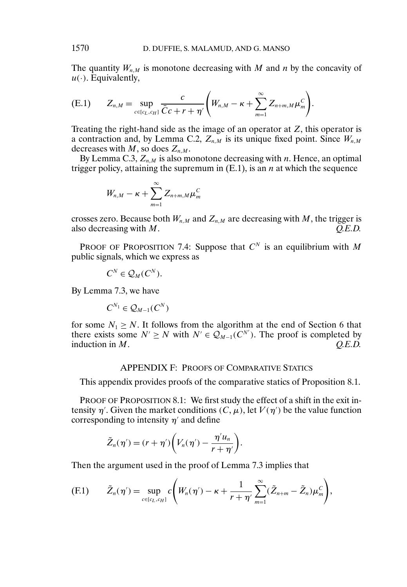The quantity  $W_{n,M}$  is monotone decreasing with M and n by the concavity of  $u(\cdot)$ . Equivalently,

(E.1) 
$$
Z_{n,M} = \sup_{c \in [c_L, c_H]} \frac{c}{\bar{C}c + r + \eta'} \left( W_{n,M} - \kappa + \sum_{m=1}^{\infty} Z_{n+m,M} \mu_m^C \right).
$$

Treating the right-hand side as the image of an operator at Z, this operator is a contraction and, by Lemma C.2,  $Z_{n,M}$  is its unique fixed point. Since  $W_{n,M}$ decreases with  $M$ , so does  $Z_{n,M}$ .

By Lemma C.3,  $Z_{n,M}$  is also monotone decreasing with n. Hence, an optimal trigger policy, attaining the supremum in  $(E.1)$ , is an *n* at which the sequence

$$
W_{n,M}-\kappa+\sum_{m=1}^\infty Z_{n+m,M}\mu_m^C
$$

crosses zero. Because both  $W_{n,M}$  and  $Z_{n,M}$  are decreasing with M, the trigger is also decreasing with M. *Q.E.D.*

PROOF OF PROPOSITION 7.4: Suppose that  $C<sup>N</sup>$  is an equilibrium with M public signals, which we express as

$$
C^N\in \mathcal{Q}_M(C^N).
$$

By Lemma 7.3, we have

$$
C^{N_1}\in \mathcal{Q}_{M-1}(C^N)
$$

for some  $N_1 \geq N$ . It follows from the algorithm at the end of Section 6 that there exists some  $N' \ge N$  with  $N' \in \mathcal{Q}_{M-1}(C^{N'})$ . The proof is completed by induction in M.  $O.E.D.$ 

# APPENDIX F: PROOFS OF COMPARATIVE STATICS

This appendix provides proofs of the comparative statics of Proposition 8.1.

PROOF OF PROPOSITION 8.1: We first study the effect of a shift in the exit intensity  $\eta'$ . Given the market conditions  $(C, \mu)$ , let  $V(\eta')$  be the value function corresponding to intensity  $\eta'$  and define

$$
\tilde{Z}_n(\eta') = (r + \eta')\bigg(V_n(\eta') - \frac{\eta'u_n}{r + \eta'}\bigg).
$$

Then the argument used in the proof of Lemma 7.3 implies that

$$
(F.1) \qquad \tilde{Z}_n(\eta') = \sup_{c \in [c_L, c_H]} c \left( W_n(\eta') - \kappa + \frac{1}{r + \eta'} \sum_{m=1}^{\infty} (\tilde{Z}_{n+m} - \tilde{Z}_n) \mu_m^C \right),
$$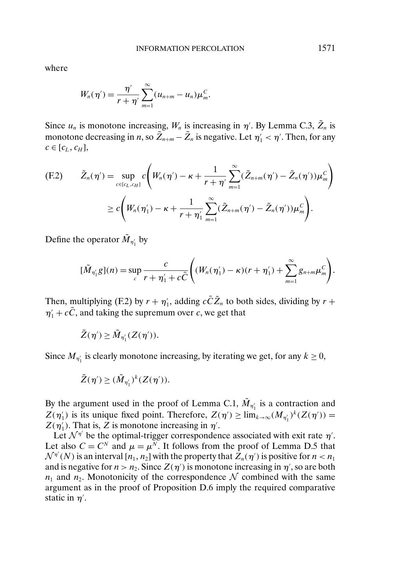where

$$
W_n(\eta')=\frac{\eta'}{r+\eta'}\sum_{m=1}^\infty(u_{n+m}-u_n)\mu_m^C.
$$

Since  $u_n$  is monotone increasing,  $W_n$  is increasing in  $\eta'$ . By Lemma C.3,  $\tilde{Z}_n$  is monotone decreasing in *n*, so  $\tilde{Z}_{n+m} - \tilde{Z}_n$  is negative. Let  $\eta'_1 < \eta'$ . Then, for any  $c \in [c_L, c_H],$ 

$$
\text{(F.2)} \qquad \tilde{Z}_n(\eta') = \sup_{c \in [c_L, c_H]} c \left( W_n(\eta') - \kappa + \frac{1}{r + \eta'} \sum_{m=1}^{\infty} (\tilde{Z}_{n+m}(\eta') - \tilde{Z}_n(\eta')) \mu_m^C \right) \\
\ge c \left( W_n(\eta'_1) - \kappa + \frac{1}{r + \eta'_1} \sum_{m=1}^{\infty} (\tilde{Z}_{n+m}(\eta') - \tilde{Z}_n(\eta')) \mu_m^C \right).
$$

Define the operator  $\tilde{M}_{\eta_1'}$  by

$$
[\tilde{M}_{\eta'_1}g](n)=\sup_c\frac{c}{r+\eta'_1+c\bar{C}}\Bigg((W_n(\eta'_1)-\kappa)(r+\eta'_1)+\sum_{m=1}^{\infty}g_{n+m}\mu_m^C\Bigg).
$$

Then, multiplying (F.2) by  $r + \eta'_1$ , adding  $c\bar{C}\tilde{Z}_n$  to both sides, dividing by  $r +$  $\eta_1' + c\bar{C}$ , and taking the supremum over c, we get that

$$
\tilde{Z}(\eta') \geq \tilde{M}_{\eta_1'}(Z(\eta')).
$$

Since  $M_{\eta'_1}$  is clearly monotone increasing, by iterating we get, for any  $k \ge 0$ ,

$$
\tilde{Z}(\eta') \geq (\tilde{M}_{\eta'_1})^k(Z(\eta')).
$$

By the argument used in the proof of Lemma C.1,  $\tilde{M}_{\eta'_1}$  is a contraction and  $Z(\eta_1')$  is its unique fixed point. Therefore,  $Z(\eta') \ge \lim_{k \to \infty} (M_{\eta_1'})^k (Z(\eta')) =$  $Z(\eta_1')$ . That is, Z is monotone increasing in  $\eta'$ .

Let  $\mathcal{N}^{\eta'}$  be the optimal-trigger correspondence associated with exit rate  $\eta'$ . Let also  $C = C^N$  and  $\mu = \mu^N$ . It follows from the proof of Lemma D.5 that  $\mathcal{N}^{\eta'}(N)$  is an interval  $[n_1, n_2]$  with the property that  $\mathcal{Z}_n(\eta')$  is positive for  $n < n_1$ and is negative for  $n > n_2$ . Since  $Z(\eta')$  is monotone increasing in  $\eta'$ , so are both  $n_1$  and  $n_2$ . Monotonicity of the correspondence N combined with the same argument as in the proof of Proposition D.6 imply the required comparative static in  $\eta'$ .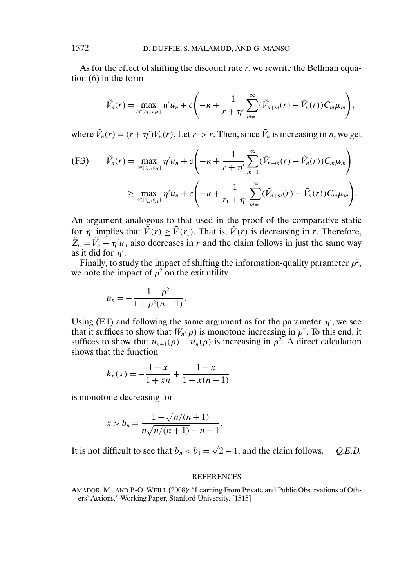As for the effect of shifting the discount rate  $r$ , we rewrite the Bellman equation (6) in the form

$$
\tilde{V}_n(r) = \max_{c \in [c_L, c_H]} \eta' u_n + c \left( -\kappa + \frac{1}{r + \eta'} \sum_{m=1}^{\infty} (\tilde{V}_{n+m}(r) - \tilde{V}_n(r)) C_m \mu_m \right),
$$

where  $\tilde{V}_n(r) = (r + \eta')V_n(r)$ . Let  $r_1 > r$ . Then, since  $\tilde{V}_n$  is increasing in *n*, we get

$$
\begin{aligned} \text{(F.3)} \qquad \tilde{V}_n(r) &= \max_{c \in [c_L, c_H]} \eta' u_n + c \bigg( -\kappa + \frac{1}{r + \eta'} \sum_{m=1}^{\infty} (\tilde{V}_{n+m}(r) - \tilde{V}_n(r)) C_m \mu_m \bigg) \\ &\geq \max_{c \in [c_L, c_H]} \eta' u_n + c \bigg( -\kappa + \frac{1}{r_1 + \eta'} \sum_{m=1}^{\infty} (\tilde{V}_{n+m}(r) - \tilde{V}_n(r)) C_m \mu_m \bigg). \end{aligned}
$$

An argument analogous to that used in the proof of the comparative static for  $\eta'$  implies that  $\bar{\tilde{V}}(r) \ge \tilde{V}(r_1)$ . That is,  $\tilde{V}(r)$  is decreasing in r. Therefore,  $\tilde{Z}_n = \tilde{V}_n - \eta' u_n$  also decreases in r and the claim follows in just the same way as it did for  $\eta'$ .

Finally, to study the impact of shifting the information-quality parameter  $\rho^2$ , we note the impact of  $\rho^2$  on the exit utility

$$
u_n = -\frac{1-\rho^2}{1+\rho^2(n-1)}.
$$

Using (F.1) and following the same argument as for the parameter  $\eta'$ , we see that it suffices to show that  $W_n(\rho)$  is monotone increasing in  $\rho^2$ . To this end, it suffices to show that  $u_{n+1}(\rho) - u_n(\rho)$  is increasing in  $\rho^2$ . A direct calculation shows that the function

$$
k_n(x) = -\frac{1-x}{1+xn} + \frac{1-x}{1+x(n-1)}
$$

is monotone decreasing for

$$
x > b_n = \frac{1 - \sqrt{n/(n+1)}}{n\sqrt{n/(n+1)} - n + 1}.
$$

It is not difficult to see that  $b_n < b_1 = \sqrt{2} - 1$ , and the claim follows. *Q.E.D.* 

#### REFERENCES

AMADOR, M., AND P.-O. WEILL (2008): "Learning From Private and Public Observations of Others' Actions," Working Paper, Stanford University. [1515]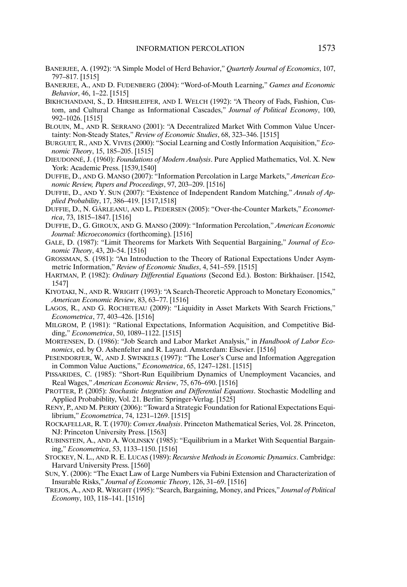- BANERJEE, A. (1992): "A Simple Model of Herd Behavior," *Quarterly Journal of Economics*, 107, 797–817. [1515]
- BANERJEE, A., AND D. FUDENBERG (2004): "Word-of-Mouth Learning," *Games and Economic Behavior*, 46, 1–22. [1515]
- BIKHCHANDANI, S., D. HIRSHLEIFER, AND I. WELCH (1992): "A Theory of Fads, Fashion, Custom, and Cultural Change as Informational Cascades," *Journal of Political Economy*, 100, 992–1026. [1515]
- BLOUIN, M., AND R. SERRANO (2001): "A Decentralized Market With Common Value Uncertainty: Non-Steady States," *Review of Economic Studies*, 68, 323–346. [1515]
- BURGUET, R., AND X. VIVES (2000): "Social Learning and Costly Information Acquisition," *Economic Theory*, 15, 185–205. [1515]
- DIEUDONNÉ, J. (1960): *Foundations of Modern Analysis*. Pure Applied Mathematics, Vol. X. New York: Academic Press. [1539,1540]
- DUFFIE, D., AND G. MANSO (2007): "Information Percolation in Large Markets," *American Economic Review, Papers and Proceedings*, 97, 203–209. [1516]
- DUFFIE, D., AND Y. SUN (2007): "Existence of Independent Random Matching," *Annals of Applied Probability*, 17, 386–419. [1517,1518]
- DUFFIE, D., N. GÂRLEANU, AND L. PEDERSEN (2005): "Over-the-Counter Markets," *Econometrica*, 73, 1815–1847. [1516]
- DUFFIE, D., G. GIROUX, AND G. MANSO (2009): "Information Percolation," *American Economic Journal: Microeconomics* (forthcoming). [1516]
- GALE, D. (1987): "Limit Theorems for Markets With Sequential Bargaining," *Journal of Economic Theory*, 43, 20–54. [1516]
- GROSSMAN, S. (1981): "An Introduction to the Theory of Rational Expectations Under Asymmetric Information," *Review of Economic Studies*, 4, 541–559. [1515]
- HARTMAN, P. (1982): *Ordinary Differential Equations* (Second Ed.). Boston: Birkhaüser. [1542, 1547]
- KIYOTAKI, N., AND R. WRIGHT (1993): "A Search-Theoretic Approach to Monetary Economics," *American Economic Review*, 83, 63–77. [1516]
- LAGOS, R., AND G. ROCHETEAU (2009): "Liquidity in Asset Markets With Search Frictions," *Econometrica*, 77, 403–426. [1516]
- MILGROM, P. (1981): "Rational Expectations, Information Acquisition, and Competitive Bidding," *Econometrica*, 50, 1089–1122. [1515]
- MORTENSEN, D. (1986): "Job Search and Labor Market Analysis," in *Handbook of Labor Economics*, ed. by O. Ashenfelter and R. Layard. Amsterdam: Elsevier. [1516]
- PESENDORFER, W., AND J. SWINKELS (1997): "The Loser's Curse and Information Aggregation in Common Value Auctions," *Econometrica*, 65, 1247–1281. [1515]
- PISSARIDES, C. (1985): "Short-Run Equilibrium Dynamics of Unemployment Vacancies, and Real Wages," *American Economic Review*, 75, 676–690. [1516]
- PROTTER, P. (2005): *Stochastic Integration and Differential Equations*. Stochastic Modelling and Applied Probabiblity, Vol. 21. Berlin: Springer-Verlag. [1525]
- RENY, P., AND M. PERRY (2006): "Toward a Strategic Foundation for Rational Expectations Equilibrium," *Econometrica*, 74, 1231–1269. [1515]
- ROCKAFELLAR, R. T. (1970): *Convex Analysis*. Princeton Mathematical Series, Vol. 28. Princeton, NJ: Princeton University Press. [1563]
- RUBINSTEIN, A., AND A. WOLINSKY (1985): "Equilibrium in a Market With Sequential Bargaining," *Econometrica*, 53, 1133–1150. [1516]
- STOCKEY, N. L., AND R. E. LUCAS (1989): *Recursive Methods in Economic Dynamics*. Cambridge: Harvard University Press. [1560]
- SUN, Y. (2006): "The Exact Law of Large Numbers via Fubini Extension and Characterization of Insurable Risks," *Journal of Economic Theory*, 126, 31–69. [1516]
- TREJOS, A., AND R. WRIGHT (1995): "Search, Bargaining, Money, and Prices," *Journal of Political Economy*, 103, 118–141. [1516]